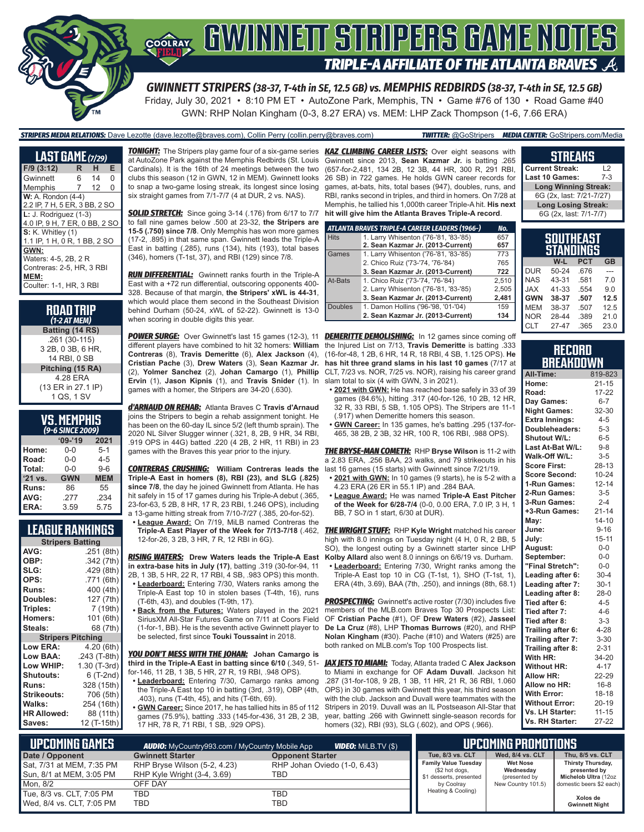

# **COORAY GWINNEIT STRIPERS GAME NOTES TRIPLE-A AFFILIATE OF THE ATLANTA BRAVES**

*GWINNETT STRIPERS (38-37, T-4th in SE, 12.5 GB) vs. MEMPHIS REDBIRDS (38-37, T-4th in SE, 12.5 GB)* Friday, July 30, 2021 • 8:10 PM ET • AutoZone Park, Memphis, TN • Game #76 of 130 • Road Game #40 GWN: RHP Nolan Kingham (0-3, 8.27 ERA) vs. MEM: LHP Zack Thompson (1-6, 7.66 ERA)

*STRIPERS MEDIA RELATIONS:* Dave Lezotte (dave.lezotte@braves.com), Collin Perry (collin.perry@braves.com) *TWITTER:* @GoStripers *MEDIA CENTER:* GoStripers.com/Media

| <b>LAST GAME (7/29)</b>       |                |    |          |  |  |
|-------------------------------|----------------|----|----------|--|--|
| $F/9$ (3:12)                  | R.             | н. | Е        |  |  |
| Gwinnett                      | 6              | 14 | $\Omega$ |  |  |
| Memphis                       | $\overline{7}$ | 12 | 0        |  |  |
| $W: A.$ Rondon $(4-4)$        |                |    |          |  |  |
| 2.2 IP, 7 H, 5 ER, 3 BB, 2 SO |                |    |          |  |  |
| $L: J.$ Rodriguez $(1-3)$     |                |    |          |  |  |
| 4.0 IP, 9 H, 7 ER, 0 BB, 2 SO |                |    |          |  |  |
| $S: K.$ Whitley $(1)$         |                |    |          |  |  |
| 1.1 IP, 1 H, 0 R, 1 BB, 2 SO  |                |    |          |  |  |
| GWN:                          |                |    |          |  |  |
| Waters: 4-5, 2B, 2 R          |                |    |          |  |  |
| Contreras: 2-5, HR, 3 RBI     |                |    |          |  |  |
| MEM:                          |                |    |          |  |  |
| Coulter: 1-1, HR, 3 RBI       |                |    |          |  |  |

#### **ROAD TRIP**  *(1-2 AT MEM)* **Batting (14 RS)** .261 (30-115) 3 2B, 0 3B, 6 HR, 14 RBI, 0 SB **Pitching (15 RA)** 4.28 ERA (13 ER in 27.1 IP) 1 QS, 1 SV

| <b>VS. MEMPHIS</b> |  |  |
|--------------------|--|--|
| (9-6 SINCE 2009)   |  |  |

| -----      |            |  |  |  |  |  |
|------------|------------|--|--|--|--|--|
| $09 - 19$  | 2021       |  |  |  |  |  |
| 0-0        | $5-1$      |  |  |  |  |  |
| $0 - 0$    | $4 - 5$    |  |  |  |  |  |
| $0 - 0$    | $9-6$      |  |  |  |  |  |
| <b>GWN</b> | <b>MEM</b> |  |  |  |  |  |
| 86         | 55         |  |  |  |  |  |
| .277       | .234       |  |  |  |  |  |
| 3.59       | 5.75       |  |  |  |  |  |
|            |            |  |  |  |  |  |

### **LEAGUE RANKINGS**

| <b>Stripers Batting</b>  |              |
|--------------------------|--------------|
| AVG:                     | .251 (8th)   |
| OBP:                     | .342 (7th)   |
| SLG:                     | .429(8th)    |
| OPS:                     | .771 (6th)   |
| <b>Runs:</b>             | 400 (4th)    |
| <b>Doubles:</b>          | 127 (7th)    |
| Triples:                 | 7 (19th)     |
| <b>Homers:</b>           | 101 (6th)    |
| Steals:                  | 68 (7th)     |
| <b>Stripers Pitching</b> |              |
| <b>Low ERA:</b>          | 4.20 (6th)   |
| Low BAA:                 | .243 (T-8th) |
| Low WHIP:                | 1.30 (T-3rd) |
| <b>Shutouts:</b>         | 6 (T-2nd)    |
| <b>Runs:</b>             | 328 (15th)   |
| <b>Strikeouts:</b>       | 706 (5th)    |
| Walks:                   | 254 (16th)   |
| <b>HR Allowed:</b>       | 88 (11th)    |
| Saves:                   | 12 (T-15th)  |

*TONIGHT:* The Stripers play game four of a six-game series *KAZ CLIMBING CAREER LISTS:* Over eight seasons with at AutoZone Park against the Memphis Redbirds (St. Louis Cardinals). It is the 16th of 24 meetings between the two clubs this season (12 in GWN, 12 in MEM). Gwinnett looks to snap a two-game losing streak, its longest since losing six straight games from 7/1-7/7 (4 at DUR, 2 vs. NAS).

**SOLID STRETCH:** Since going 3-14 (.176) from 6/17 to 7/7 to fall nine games below .500 at 23-32, **the Stripers are 15-5 (.750) since 7/8**. Only Memphis has won more games (17-2, .895) in that same span. Gwinnett leads the Triple-A East in batting (.285), runs (134), hits (193), total bases (346), homers (T-1st, 37), and RBI (129) since 7/8.

*RUN DIFFERENTIAL:* Gwinnett ranks fourth in the Triple-A East with a +72 run differential, outscoring opponents 400- 328. Because of that margin, **the Stripers' xWL is 44-31**, which would place them second in the Southeast Division behind Durham (50-24, xWL of 52-22). Gwinnett is 13-0 when scoring in double digits this year.

*POWER SURGE:* Over Gwinnett's last 15 games (12-3), 11 *DEMERITTE DEMOLISHING:* In 12 games since coming off different players have combined to hit 32 homers: **William**  the Injured List on 7/13, **Travis Demeritte** is batting .333 **Contreras** (8), **Travis Demeritte** (6), **Alex Jackson** (4), **Cristian Pache** (3), **Drew Waters** (3), **Sean Kazmar Jr.** (2), **Yolmer Sanchez** (2), **Johan Camargo** (1), **Phillip Ervin** (1), **Jason Kipnis** (1), and **Travis Snider** (1). In games with a homer, the Stripers are 34-20 (.630).

*d'ARNAUD ON REHAB:* Atlanta Braves C **Travis d'Arnaud** joins the Stripers to begin a rehab assignment tonight. He has been on the 60-day IL since 5/2 (left thumb sprain). The 2020 NL Silver Slugger winner (.321, 8, 2B, 9 HR, 34 RBI, .919 OPS in 44G) batted .220 (4 2B, 2 HR, 11 RBI) in 23 games with the Braves this year prior to the injury.

*CONTRERAS CRUSHING:* **William Contreras leads the Triple-A East in homers (8), RBI (23), and SLG (.825) since 7/8**, the day he joined Gwinnett from Atlanta. He has hit safely in 15 of 17 games during his Triple-A debut (.365, 23-for-63, 5 2B, 8 HR, 17 R, 23 RBI, 1.246 OPS), including a 13-game hitting streak from 7/10-7/27 (.385, 20-for-52).

**League Award:** On 7/19, MiLB named Contreras the 12-for-26, 3 2B, 3 HR, 7 R, 12 RBI in 6G).

*RISING WATERS:* **Drew Waters leads the Triple-A East in extra-base hits in July (17)**, batting .319 (30-for-94, 11

- 2B, 1 3B, 5 HR, 22 R, 17 RBI, 4 SB, .983 OPS) this month. **• Leaderboard:** Entering 7/30, Waters ranks among the Triple-A East top 10 in stolen bases (T-4th, 16), runs
- (T-6th, 43), and doubles (T-9th, 17). **• Back from the Futures:** Waters played in the 2021 SiriusXM All-Star Futures Game on 7/11 at Coors Field (1-for-1, BB). He is the seventh active Gwinnett player to

be selected, first since **Touki Toussaint** in 2018. *YOU DON'T MESS WITH THE JOHAN:* **Johan Camargo is** 

**third in the Triple-A East in batting since 6/10** (.349, 51 for-146, 11 2B, 1 3B, 5 HR, 27 R, 19 RBI, .948 OPS).

- **• Leaderboard:** Entering 7/30, Camargo ranks among the Triple-A East top 10 in batting (3rd, .319), OBP (4th, .403), runs (T-4th, 45), and hits (T-6th, 69).
- **• GWN Career:** Since 2017, he has tallied hits in 85 of 112 games (75.9%), batting .333 (145-for-436, 31 2B, 2 3B, 17 HR, 78 R, 71 RBI, 1 SB, .929 OPS).

Gwinnett since 2013, **Sean Kazmar Jr.** is batting .265 (657-for-2,481, 134 2B, 12 3B, 44 HR, 300 R, 291 RBI, 26 SB) in 722 games. He holds GWN career records for games, at-bats, hits, total bases (947), doubles, runs, and RBI, ranks second in triples, and third in homers. On 7/28 at Memphis, he tallied his 1,000th career Triple-A hit. **His next hit will give him the Atlanta Braves Triple-A record**.

|             | ATLANTA BRAVES TRIPLE-A CAREER LEADERS (1966-) | No.   |
|-------------|------------------------------------------------|-------|
| <b>Hits</b> | 1. Larry Whisenton ('76-'81, '83-'85)          | 657   |
|             | 2. Sean Kazmar Jr. (2013-Current)              | 657   |
| Games       | 1. Larry Whisenton ('76-'81, '83-'85)          | 773   |
|             | 2. Chico Ruiz ('73-'74, '76-'84)               | 765   |
|             | 3. Sean Kazmar Jr. (2013-Current)              | 722   |
| At-Bats     | 1. Chico Ruiz ('73-'74, '76-'84)               | 2.510 |
|             | 2. Larry Whisenton ('76-'81, '83-'85)          | 2,505 |
|             | 3. Sean Kazmar Jr. (2013-Current)              | 2,481 |
| Doubles     | 1. Damon Hollins ('96-'98, '01-'04)            | 159   |
|             | 2. Sean Kazmar Jr. (2013-Current)              | 134   |

(16-for-48, 1 2B, 6 HR, 14 R, 18 RBI, 4 SB, 1.125 OPS). **He has hit three grand slams in his last 10 games** (7/17 at CLT, 7/23 vs. NOR, 7/25 vs. NOR), raising his career grand slam total to six (4 with GWN, 3 in 2021).

- **• 2021 with GWN:** He has reached base safely in 33 of 39 games (84.6%), hitting .317 (40-for-126, 10 2B, 12 HR, 32 R, 33 RBI, 5 SB, 1.105 OPS). The Stripers are 11-1 (.917) when Demeritte homers this season.
- **• GWN Career:** In 135 games, he's batting .295 (137-for-465, 38 2B, 2 3B, 32 HR, 100 R, 106 RBI, .988 OPS).

*THE BRYSE-MAN COMETH:* RHP **Bryse Wilson** is 11-2 with a 2.83 ERA, .256 BAA, 23 walks, and 79 strikeouts in his last 16 games (15 starts) with Gwinnett since 7/21/19.

- **• 2021 with GWN:** In 10 games (9 starts), he is 5-2 with a 4.23 ERA (26 ER in 55.1 IP) and .284 BAA.
- **• League Award:** He was named **Triple-A East Pitcher of the Week for 6/28-7/4** (0-0, 0.00 ERA, 7.0 IP, 3 H, 1 BB, 7 SO in 1 start, 6/30 at DUR).

**Triple-A East Player of the Week for 7/13-7/18** (.462, *THE WRIGHT STUFF:* RHP **Kyle Wright** matched his career high with 8.0 innings on Tuesday night (4 H, 0 R, 2 BB, 5 SO), the longest outing by a Gwinnett starter since LHP **Kolby Allard** also went 8.0 innings on 6/6/19 vs. Durham.

**• Leaderboard:** Entering 7/30, Wright ranks among the Triple-A East top 10 in CG (T-1st, 1), SHO (T-1st, 1), ERA (4th, 3.69), BAA (7th, .250), and innings (8th, 68.1)

**PROSPECTING:** Gwinnett's active roster (7/30) includes five members of the MLB.com Braves Top 30 Prospects List: OF **Cristian Pache** (#1), OF **Drew Waters** (#2), **Jasseel De La Cruz** (#8), LHP **Thomas Burrows** (#20), and RHP **Nolan Kingham** (#30). Pache (#10) and Waters (#25) are both ranked on MLB.com's Top 100 Prospects list.

*JAX JETS TO MIAMI:* Today, Atlanta traded C **Alex Jackson** to Miami in exchange for OF **Adam Duvall**. Jackson hit .287 (31-for-108, 9 2B, 1 3B, 11 HR, 21 R, 36 RBI, 1.060 OPS) in 30 games with Gwinnett this year, his third season with the club. Jackson and Duvall were teammates with the Stripers in 2019. Duvall was an IL Postseason All-Star that year, batting .266 with Gwinnett single-season records for homers (32), RBI (93), SLG (.602), and OPS (.966).

# **STREAKS**

**Current Streak:** L2 **Last 10 Games: Long Winning Streak:** 6G (2x, last: 7/21-7/27) **Long Losing Streak:** 6G (2x, last: 7/1-7/7)

| SOUTHEAST<br>STANDINGS |       |            |           |  |  |
|------------------------|-------|------------|-----------|--|--|
|                        | W-L   | <b>PCT</b> | <b>GB</b> |  |  |
| <b>DUR</b>             | 50-24 | .676       |           |  |  |
| <b>NAS</b>             | 43-31 | .581       | 7.0       |  |  |
| <b>JAX</b>             | 41-33 | .554       | 9.0       |  |  |
| <b>GWN</b>             | 38-37 | .507       | 12.5      |  |  |
| <b>MEM</b>             | 38-37 | .507       | 12.5      |  |  |
| <b>NOR</b>             | 28-44 | .389       | 21.0      |  |  |
| <b>CLT</b>             | 27-47 | .365       | 23.0      |  |  |

|                  | RECORD |  |
|------------------|--------|--|
| <b>BREAKDOWN</b> |        |  |

| All-Time:             | 819-823   |
|-----------------------|-----------|
| Home:                 | $21 - 15$ |
| Road:                 | 17-22     |
| Day Games:            | $6 - 7$   |
| <b>Night Games:</b>   | 32-30     |
| <b>Extra Innings:</b> | $4 - 5$   |
| Doubleheaders:        | $5 - 3$   |
| <b>Shutout W/L:</b>   | $6 - 5$   |
| Last At-Bat W/L:      | $9 - 8$   |
| Walk-Off W/L:         | $3 - 5$   |
| <b>Score First:</b>   | 28-13     |
| <b>Score Second:</b>  | $10 - 24$ |
| 1-Run Games:          | $12 - 14$ |
| 2-Run Games:          | $3 - 5$   |
| 3-Run Games:          | $2 - 4$   |
| +3-Run Games:         | $21 - 14$ |
| Mav:                  | $14 - 10$ |
| June:                 | $9 - 16$  |
| July:                 | $15 - 11$ |
| August:               | $0-0$     |
| September:            | $0-0$     |
| "Final Stretch":      | $0 - 0$   |
| Leading after 6:      | $30 - 4$  |
| Leading after 7:      | $30-1$    |
| Leading after 8:      | $28-0$    |
| Tied after 6:         | $4 - 5$   |
| Tied after 7:         | $4 - 6$   |
| Tied after 8:         | $3 - 3$   |
| Trailing after 6:     | 4-28      |
| Trailing after 7:     | $3 - 30$  |
| Trailing after 8:     | $2 - 31$  |
| With HR:              | 34-20     |
| <b>Without HR:</b>    | $4 - 17$  |
| Allow HR:             | 22-29     |
| Allow no HR:          | $16 - 8$  |
| <b>With Error:</b>    | $18 - 18$ |
| <b>Without Error:</b> | $20 - 19$ |
| Vs. LH Starter:       | $11 - 15$ |
| Vs. RH Starter:       | 27-22     |

| <b>UPCOMING GAMES</b><br><b>VIDEO:</b> Milb.TV (\$)<br><b>AUDIO:</b> MyCountry993.com / MyCountry Mobile App |                              |                              |                                               | <b>IPCOMING PROMOTIONS</b>   |                                   |
|--------------------------------------------------------------------------------------------------------------|------------------------------|------------------------------|-----------------------------------------------|------------------------------|-----------------------------------|
| Date / Opponent                                                                                              | <b>Gwinnett Starter</b>      | <b>Opponent Starter</b>      | Tue, 8/3 vs. CLT                              | Wed. 8/4 vs. CLT             | Thu, 8/5 vs. CLT                  |
| Sat, 7/31 at MEM, 7:35 PM                                                                                    | RHP Bryse Wilson (5-2, 4.23) | RHP Johan Oviedo (1-0, 6.43) | <b>Family Value Tuesday</b><br>(\$2 hot dogs, | <b>Wet Nose</b><br>Wednesday | Thirsty Thursday,<br>presented by |
| Sun, 8/1 at MEM, 3:05 PM                                                                                     | RHP Kyle Wright (3-4, 3.69)  | TBD                          | \$1 desserts, presented                       | (presented by                | Michelob Ultra (12oz              |
| Mon. 8/2                                                                                                     | OFF DAY                      |                              | by Coolrav                                    | New Country 101.5)           | domestic beers \$2 each)          |
| Tue, 8/3 vs. CLT, 7:05 PM                                                                                    | <b>TBD</b>                   | TBD                          | Heating & Cooling)                            |                              | Xolos de                          |
| Wed, 8/4 vs. CLT, 7:05 PM                                                                                    | TBD                          | TBD                          |                                               |                              | <b>Gwinnett Night</b>             |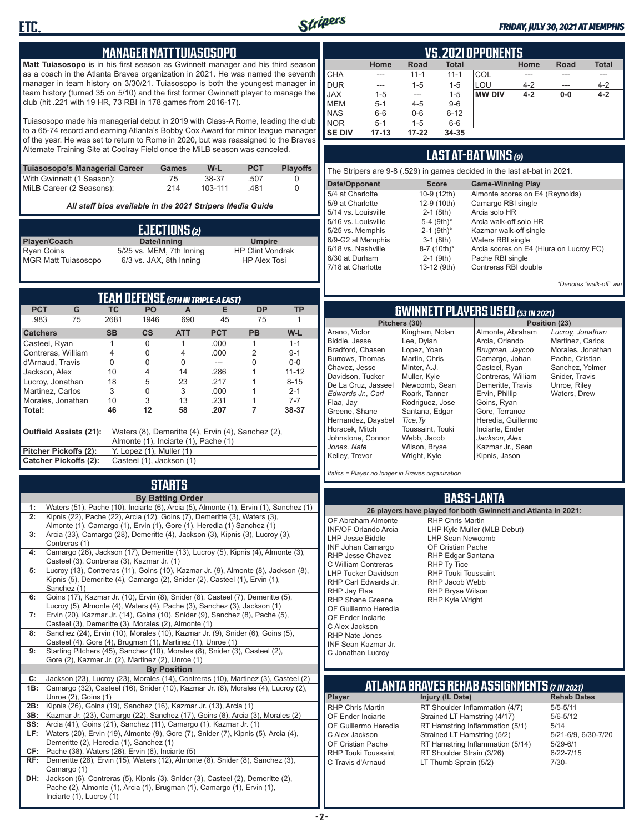

#### *FRIDAY, JULY 30, 2021 AT MEMPHIS*

### **MANAGER MATT TUIASOSOPO**

**Matt Tuiasosopo** is in his first season as Gwinnett manager and his third season as a coach in the Atlanta Braves organization in 2021. He was named the seventh manager in team history on 3/30/21. Tuiasosopo is both the youngest manager in team history (turned 35 on 5/10) and the first former Gwinnett player to manage the club (hit .221 with 19 HR, 73 RBI in 178 games from 2016-17).

Tuiasosopo made his managerial debut in 2019 with Class-A Rome, leading the club to a 65-74 record and earning Atlanta's Bobby Cox Award for minor league manager of the year. He was set to return to Rome in 2020, but was reassigned to the Braves Alternate Training Site at Coolray Field once the MiLB season was canceled.

| Tuiasosopo's Managerial Career | Games | W-L     | <b>PCT</b> | <b>Plavoffs</b> |
|--------------------------------|-------|---------|------------|-----------------|
| With Gwinnett (1 Season):      | 75    | 38-37   | .507       |                 |
| MiLB Career (2 Seasons):       | 214   | 103-111 | 481        |                 |

*All staff bios available in the 2021 Stripers Media Guide*

| EJECTIONS(2)               |                          |                         |  |  |  |
|----------------------------|--------------------------|-------------------------|--|--|--|
| Player/Coach               | Date/Inning              | <b>Umpire</b>           |  |  |  |
| <b>Ryan Goins</b>          | 5/25 vs. MEM, 7th Inning | <b>HP Clint Vondrak</b> |  |  |  |
| <b>MGR Matt Tuiasosopo</b> | 6/3 vs. JAX, 8th Inning  | <b>HP Alex Tosi</b>     |  |  |  |

| TEAM DEFENSE (5TH IN TRIPLE-A EAST)                                                                                  |                                                   |           |                          |            |            |           |           |
|----------------------------------------------------------------------------------------------------------------------|---------------------------------------------------|-----------|--------------------------|------------|------------|-----------|-----------|
| <b>PCT</b>                                                                                                           | G                                                 | ТC        | PO                       | A          | Е          | <b>DP</b> | <b>TP</b> |
| .983                                                                                                                 | 75                                                | 2681      | 1946                     | 690        | 45         | 75        |           |
| <b>Catchers</b>                                                                                                      |                                                   | <b>SB</b> | $\mathsf{cs}$            | <b>ATT</b> | <b>PCT</b> | <b>PB</b> | W-L       |
| Casteel, Ryan                                                                                                        |                                                   |           | $\Omega$                 |            | .000       |           | $1 - 1$   |
| Contreras, William                                                                                                   |                                                   | 4         | Ω                        | 4          | .000       | 2         | $9 - 1$   |
| d'Arnaud. Travis                                                                                                     |                                                   | 0         | Ω                        | U          |            | U         | $0 - 0$   |
| Jackson, Alex                                                                                                        |                                                   | 10        | 4                        | 14         | .286       |           | $11 - 12$ |
| Lucroy, Jonathan                                                                                                     |                                                   | 18        | 5                        | 23         | .217       |           | $8 - 15$  |
| Martinez, Carlos                                                                                                     |                                                   | 3         | 0                        | 3          | .000       |           | $2 - 1$   |
| Morales, Jonathan                                                                                                    |                                                   | 10        | 3                        | 13         | .231       |           | 7-7       |
| Total:                                                                                                               |                                                   | 46        | 12                       | 58         | .207       |           | 38-37     |
| Outfield Assists (21):<br>Waters (8), Demeritte (4), Ervin (4), Sanchez (2),<br>Almonte (1), Inciarte (1), Pache (1) |                                                   |           |                          |            |            |           |           |
| Pitcher Pickoffs (2):                                                                                                |                                                   |           | Y. Lopez (1), Muller (1) |            |            |           |           |
|                                                                                                                      | Catcher Pickoffs (2):<br>Casteel (1), Jackson (1) |           |                          |            |            |           |           |

# **STARTS**

|     | <b>By Batting Order</b>                                                                                                                                  |
|-----|----------------------------------------------------------------------------------------------------------------------------------------------------------|
| 1:  | Waters (51), Pache (10), Inciarte (6), Arcia (5), Almonte (1), Ervin (1), Sanchez (1)                                                                    |
| 2:  | Kipnis (22), Pache (22), Arcia (12), Goins (7), Demeritte (3), Waters (3),                                                                               |
|     | Almonte (1), Camargo (1), Ervin (1), Gore (1), Heredia (1) Sanchez (1)                                                                                   |
| 3:  | Arcia (33), Camargo (28), Demeritte (4), Jackson (3), Kipnis (3), Lucroy (3),                                                                            |
|     | Contreras (1)                                                                                                                                            |
| 4:  | Camargo (26), Jackson (17), Demeritte (13), Lucroy (5), Kipnis (4), Almonte (3),                                                                         |
|     | Casteel (3), Contreras (3), Kazmar Jr. (1)                                                                                                               |
| 5:  | Lucroy (13), Contreras (11), Goins (10), Kazmar Jr. (9), Almonte (8), Jackson (8),                                                                       |
|     | Kipnis (5), Demeritte (4), Camargo (2), Snider (2), Casteel (1), Ervin (1),                                                                              |
|     | Sanchez (1)                                                                                                                                              |
| 6:  | Goins (17), Kazmar Jr. (10), Ervin (8), Snider (8), Casteel (7), Demeritte (5),                                                                          |
| 7:  | Lucroy (5), Almonte (4), Waters (4), Pache (3), Sanchez (3), Jackson (1)<br>Ervin (20), Kazmar Jr. (14), Goins (10), Snider (9), Sanchez (8), Pache (5), |
|     | Casteel (3), Demeritte (3), Morales (2), Almonte (1)                                                                                                     |
| 8:  | Sanchez (24), Ervin (10), Morales (10), Kazmar Jr. (9), Snider (6), Goins (5),                                                                           |
|     | Casteel (4), Gore (4), Brugman (1), Martinez (1), Unroe (1)                                                                                              |
| 9:  | Starting Pitchers (45), Sanchez (10), Morales (8), Snider (3), Casteel (2),                                                                              |
|     | Gore (2), Kazmar Jr. (2), Martinez (2), Unroe (1)                                                                                                        |
|     | <b>By Position</b>                                                                                                                                       |
| C:  | Jackson (23), Lucroy (23), Morales (14), Contreras (10), Martinez (3), Casteel (2)                                                                       |
| 1B: | Camargo (32), Casteel (16), Snider (10), Kazmar Jr. (8), Morales (4), Lucroy (2),                                                                        |
|     | Unroe (2), Goins (1)                                                                                                                                     |
| 2B: | Kipnis (26), Goins (19), Sanchez (16), Kazmar Jr. (13), Arcia (1)                                                                                        |
| 3B: | Kazmar Jr. (23), Camargo (22), Sanchez (17), Goins (8), Arcia (3), Morales (2)                                                                           |
| SS: | Arcia (41), Goins (21), Sanchez (11), Camargo (1), Kazmar Jr. (1)                                                                                        |
| LF: | Waters (20), Ervin (19), Almonte (9), Gore (7), Snider (7), Kipnis (5), Arcia (4),                                                                       |
|     | Demeritte (2), Heredia (1), Sanchez (1)                                                                                                                  |
| CF: | Pache (38), Waters (26), Ervin (6), Inciarte (5)                                                                                                         |
| RF: | Demeritte (28), Ervin (15), Waters (12), Almonte (8), Snider (8), Sanchez (3),                                                                           |
|     | Camargo (1)                                                                                                                                              |
| DH: | Jackson (6), Contreras (5), Kipnis (3), Snider (3), Casteel (2), Demeritte (2),                                                                          |
|     | Pache (2), Almonte (1), Arcia (1), Brugman (1), Camargo (1), Ervin (1),                                                                                  |
|     | Inciarte (1), Lucroy (1)                                                                                                                                 |

|               | VS.2021 OPPONENTS                                                          |           |          |               |         |       |         |  |  |  |  |  |  |  |
|---------------|----------------------------------------------------------------------------|-----------|----------|---------------|---------|-------|---------|--|--|--|--|--|--|--|
|               | <b>Total</b><br><b>Total</b><br><b>Road</b><br>Home<br><b>Road</b><br>Home |           |          |               |         |       |         |  |  |  |  |  |  |  |
| <b>CHA</b>    | ---                                                                        | $11 - 1$  | $11 - 1$ | COL           |         |       |         |  |  |  |  |  |  |  |
| DUR           | ---                                                                        | $1 - 5$   | $1 - 5$  | LOU           | $4 - 2$ | ---   | $4 - 2$ |  |  |  |  |  |  |  |
| <b>JAX</b>    | $1 - 5$                                                                    | ---       | $1 - 5$  | <b>MW DIV</b> | $4 - 2$ | $0-0$ | $4 - 2$ |  |  |  |  |  |  |  |
| <b>IMEM</b>   | $5 - 1$                                                                    | $4 - 5$   | $9-6$    |               |         |       |         |  |  |  |  |  |  |  |
| <b>NAS</b>    | $6-6$                                                                      | $0-6$     | $6 - 12$ |               |         |       |         |  |  |  |  |  |  |  |
| <b>NOR</b>    | $5 - 1$                                                                    | $1 - 5$   | $6-6$    |               |         |       |         |  |  |  |  |  |  |  |
| <b>SE DIV</b> | $17 - 13$                                                                  | $17 - 22$ | 34-35    |               |         |       |         |  |  |  |  |  |  |  |

### **LAST AT-BAT WINS** *(9)*

| The Stripers are 9-8 (.529) in games decided in the last at-bat in 2021. |                          |                                         |  |  |  |  |  |  |  |  |
|--------------------------------------------------------------------------|--------------------------|-----------------------------------------|--|--|--|--|--|--|--|--|
| Date/Opponent                                                            | <b>Score</b>             | <b>Game-Winning Play</b>                |  |  |  |  |  |  |  |  |
| 5/4 at Charlotte                                                         | 10-9 (12th)              | Almonte scores on E4 (Reynolds)         |  |  |  |  |  |  |  |  |
| 5/9 at Charlotte                                                         | 12-9 (10th)              | Camargo RBI single                      |  |  |  |  |  |  |  |  |
| 5/14 vs. Louisville                                                      | $2-1$ (8th)              | Arcia solo HR                           |  |  |  |  |  |  |  |  |
| 5/16 vs. Louisville                                                      | 5-4 $(9th)*$             | Arcia walk-off solo HR                  |  |  |  |  |  |  |  |  |
| 5/25 vs. Memphis                                                         | $2-1$ (9th) <sup>*</sup> | Kazmar walk-off single                  |  |  |  |  |  |  |  |  |
| 6/9-G2 at Memphis                                                        | $3-1$ (8th)              | Waters RBI single                       |  |  |  |  |  |  |  |  |
| 6/18 vs. Nashville                                                       | 8-7 (10th)*              | Arcia scores on E4 (Hiura on Lucroy FC) |  |  |  |  |  |  |  |  |
| 6/30 at Durham                                                           | $2-1$ (9th)              | Pache RBI single                        |  |  |  |  |  |  |  |  |
| 7/18 at Charlotte                                                        | 13-12 (9th)              | Contreras RBI double                    |  |  |  |  |  |  |  |  |
|                                                                          |                          |                                         |  |  |  |  |  |  |  |  |

*\*Denotes "walk-off" win*

# **GWINNETT PLAYERS USED** *(53 IN 2021)*

|                     | Pitchers (30)    | Position (23)      |                   |  |  |  |  |
|---------------------|------------------|--------------------|-------------------|--|--|--|--|
| Arano, Victor       | Kingham, Nolan   | Almonte, Abraham   | Lucroy, Jonathan  |  |  |  |  |
| Biddle, Jesse       | Lee, Dylan       | Arcia, Orlando     | Martinez, Carlos  |  |  |  |  |
| Bradford, Chasen    | Lopez, Yoan      | Brugman, Jaycob    | Morales, Jonathan |  |  |  |  |
| Burrows, Thomas     | Martin, Chris    | Camargo, Johan     | Pache, Cristian   |  |  |  |  |
| Chavez, Jesse       | Minter, A.J.     | Casteel, Ryan      | Sanchez, Yolmer   |  |  |  |  |
| Davidson. Tucker    | Muller, Kyle     | Contreras, William | Snider, Travis    |  |  |  |  |
| De La Cruz, Jasseel | Newcomb, Sean    | Demeritte, Travis  | Unroe, Riley      |  |  |  |  |
| Edwards Jr Carl     | Roark, Tanner    | Ervin, Phillip     | Waters, Drew      |  |  |  |  |
| Flaa, Jav           | Rodriguez, Jose  | Goins, Ryan        |                   |  |  |  |  |
| Greene, Shane       | Santana, Edgar   | Gore, Terrance     |                   |  |  |  |  |
| Hernandez, Daysbel  | Tice. Tv         | Heredia, Guillermo |                   |  |  |  |  |
| Horacek, Mitch      | Toussaint, Touki | Inciarte, Ender    |                   |  |  |  |  |
| Johnstone, Connor   | Webb, Jacob      | Jackson, Alex      |                   |  |  |  |  |
| Jones, Nate         | Wilson, Bryse    | Kazmar Jr., Sean   |                   |  |  |  |  |
| Kelley, Trevor      | Wright, Kyle     | Kipnis, Jason      |                   |  |  |  |  |
|                     |                  |                    |                   |  |  |  |  |

*Italics = Player no longer in Braves organization*

### **BASS-LANTA**

**ATLANTA BRAVES REHAB ASSIGNMENTS** *(7 IN 2021)* **Player Injury (IL Date)** RHP Chris Martin RT Shoulder Inflammation (4/7) 5/5-5/11<br>CF Ender Inciarte Strained I T Hamstring (4/17) 5/6-5/12 OF Ender Inciarte Strained LT Hamstring (4/17) 5/6-5<br>OF Guillermo Heredia RT Hamstring Inflammation (5/1) 5/14 OF Guillermo Heredia RT Hamstring Inflammation (5/1) 5/14<br>C Alex Jackson Strained LT Hamstring (5/2) 5/21-6/9, 6/30-7/20 C Alex Jackson Strained LT Hamstring (5/2) 5/21-6/9<br>CF Cristian Pache RT Hamstring Inflammation (5/14) 5/29-6/1 OF Cristian Pache RT Hamstring Inflammation (5/14)<br>RHP Touki Toussaint RT Shoulder Strain (3/26) RHP Touki Toussaint RT Shoulder Strain (3/26) 6/22-7/15<br>C Travis d'Arnaud LT Thumb Sprain (5/2) 7/30-LT Thumb Sprain (5/2) **26 players have played for both Gwinnett and Atlanta in 2021:** OF Abraham Almonte INF/OF Orlando Arcia LHP Jesse Biddle INF Johan Camargo RHP Jesse Chavez C William Contreras LHP Tucker Davidson RHP Carl Edwards Jr. RHP Jay Flaa RHP Shane Greene OF Guillermo Heredia OF Ender Inciarte C Alex Jackson RHP Nate Jones INF Sean Kazmar Jr. C Jonathan Lucroy RHP Chris Martin LHP Kyle Muller (MLB Debut) LHP Sean Newcomb OF Cristian Pache RHP Edgar Santana RHP Ty Tice RHP Touki Toussaint RHP Jacob Webb RHP Bryse Wilson RHP Kyle Wright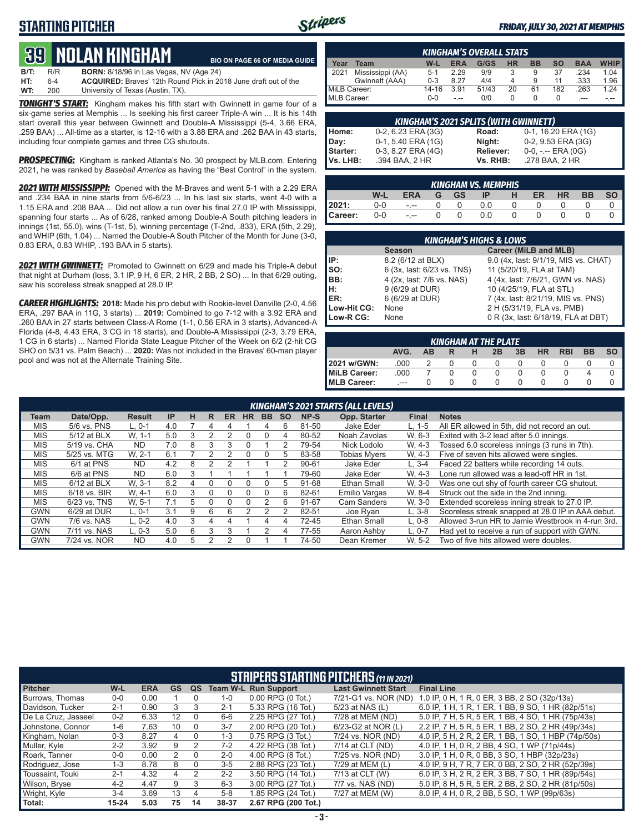## **STARTING PITCHER**



#### *FRIDAY, JULY 30, 2021 AT MEMPHIS*

# **39****NOLAN KINGHam**

**B/T:** R/R **BORN:** 8/18/96 in Las Vegas, NV (Age 24) **HT:** 6-4 **ACQUIRED:** Braves' 12th Round Pick in 2018 June draft out of the University of Texas (Austin, TX). **BIO ON PAGE 66 OF MEDIA GUIDE**

**TONIGHT'S START:** Kingham makes his fifth start with Gwinnett in game four of a six-game series at Memphis ... Is seeking his first career Triple-A win ... It is his 14th start overall this year between Gwinnett and Double-A Mississippi (5-4, 3.66 ERA, .259 BAA) ... All-time as a starter, is 12-16 with a 3.88 ERA and .262 BAA in 43 starts, including four complete games and three CG shutouts.

*PROSPECTING:* Kingham is ranked Atlanta's No. 30 prospect by MLB.com. Entering 2021, he was ranked by *Baseball America* as having the "Best Control" in the system.

*2021 WITH MISSISSIPPI:* Opened with the M-Braves and went 5-1 with a 2.29 ERA and .234 BAA in nine starts from 5/6-6/23 ... In his last six starts, went 4-0 with a 1.15 ERA and .208 BAA ... Did not allow a run over his final 27.0 IP with Mississippi, spanning four starts ... As of 6/28, ranked among Double-A South pitching leaders in innings (1st, 55.0), wins (T-1st, 5), winning percentage (T-2nd, .833), ERA (5th, 2.29), and WHIP (6th, 1.04) ... Named the Double-A South Pitcher of the Month for June (3-0, 0.83 ERA, 0.83 WHIP, .193 BAA in 5 starts).

*2021 WITH GWINNETT:* Promoted to Gwinnett on 6/29 and made his Triple-A debut that night at Durham (loss, 3.1 IP, 9 H, 6 ER, 2 HR, 2 BB, 2 SO) ... In that 6/29 outing, saw his scoreless streak snapped at 28.0 IP.

*CAREER HIGHLIGHTS:* **2018:** Made his pro debut with Rookie-level Danville (2-0, 4.56 ERA, .297 BAA in 11G, 3 starts) ... **2019:** Combined to go 7-12 with a 3.92 ERA and .260 BAA in 27 starts between Class-A Rome (1-1, 0.56 ERA in 3 starts), Advanced-A Florida (4-8, 4.43 ERA, 3 CG in 18 starts), and Double-A Mississippi (2-3, 3.79 ERA, 1 CG in 6 starts) ... Named Florida State League Pitcher of the Week on 6/2 (2-hit CG SHO on 5/31 vs. Palm Beach) ... **2020:** Was not included in the Braves' 60-man player pool and was not at the Alternate Training Site.

|              | <b>KINGHAM'S OVERALL STATS</b>                                                                        |         |      |       |    |    |     |      |      |  |  |  |  |  |
|--------------|-------------------------------------------------------------------------------------------------------|---------|------|-------|----|----|-----|------|------|--|--|--|--|--|
| Year         | <b>WHIP</b><br>G/GS<br><b>HR</b><br><b>SO</b><br><b>BB</b><br><b>ERA</b><br><b>BAA</b><br>W-L<br>Team |         |      |       |    |    |     |      |      |  |  |  |  |  |
| 12021        | Mississippi (AA)                                                                                      | $5-1$   | 2.29 | 9/9   |    | 9  | 37  | .234 | 1.04 |  |  |  |  |  |
|              | Gwinnett (AAA)                                                                                        | $0 - 3$ | 8.27 | 4/4   |    | 9  | 11  | .333 | 1.96 |  |  |  |  |  |
| MiLB Career: |                                                                                                       | 14-16   | 3.91 | 51/43 | 20 | 61 | 182 | .263 | 1.24 |  |  |  |  |  |
| MLB Career:  |                                                                                                       | $0 - 0$ |      | 0/0   |    |    |     |      |      |  |  |  |  |  |

| <b>KINGHAM'S 2021 SPLITS (WITH GWINNETT)</b> |                    |                  |                     |  |  |  |  |  |  |  |  |
|----------------------------------------------|--------------------|------------------|---------------------|--|--|--|--|--|--|--|--|
| Home:                                        | 0-2, 6.23 ERA (3G) | Road:            | 0-1, 16.20 ERA (1G) |  |  |  |  |  |  |  |  |
| Day:                                         | 0-1, 5.40 ERA (1G) | Night:           | 0-2, 9.53 ERA (3G)  |  |  |  |  |  |  |  |  |
| Starter:                                     | 0-3, 8.27 ERA (4G) | <b>Reliever:</b> | $0-0, - -$ ERA (0G) |  |  |  |  |  |  |  |  |
| Vs. LHB:                                     | .394 BAA, 2 HR     | Vs. RHB:         | .278 BAA, 2 HR      |  |  |  |  |  |  |  |  |

| 'KINGHAM VS. MEMPHIS . |       |            |  |      |     |          |          |           |           |           |  |  |  |
|------------------------|-------|------------|--|------|-----|----------|----------|-----------|-----------|-----------|--|--|--|
|                        | W-L   | <b>ERA</b> |  | G GS | IP. | H        | ER       | <b>HR</b> | <b>BB</b> | <b>SO</b> |  |  |  |
| 2021:                  | $0-0$ | $ -$       |  | - 0  | 0.0 |          |          |           |           |           |  |  |  |
| Career:                | $0-0$ | $-1 - 1$   |  | 0    | 0.0 | $\Omega$ | $\Omega$ |           |           |           |  |  |  |

|                 | <b>KINGHAM'S HIGHS &amp; LOWS</b> |                                      |  |  |  |  |  |  |  |  |  |  |
|-----------------|-----------------------------------|--------------------------------------|--|--|--|--|--|--|--|--|--|--|
|                 | <b>Season</b>                     | Career (MiLB and MLB)                |  |  |  |  |  |  |  |  |  |  |
| IP:             | 8.2 (6/12 at BLX)                 | 9.0 (4x, last: 9/1/19, MIS vs. CHAT) |  |  |  |  |  |  |  |  |  |  |
| $\mathsf{Iso}:$ | 6 (3x, last: 6/23 vs. TNS)        | 11 (5/20/19, FLA at TAM)             |  |  |  |  |  |  |  |  |  |  |
| BB:             | 4 (2x, last: 7/6 vs. NAS)         | 4 (4x, last: 7/6/21, GWN vs. NAS)    |  |  |  |  |  |  |  |  |  |  |
| IH:             | 9 (6/29 at DUR)                   | 10 (4/25/19, FLA at STL)             |  |  |  |  |  |  |  |  |  |  |
| <b>IER:</b>     | 6 (6/29 at DUR)                   | 7 (4x, last: 8/21/19, MIS vs. PNS)   |  |  |  |  |  |  |  |  |  |  |
| Low-Hit CG:     | None                              | 2 H (5/31/19, FLA vs. PMB)           |  |  |  |  |  |  |  |  |  |  |
| Low-R CG:       | None                              | 0 R (3x, last: 6/18/19, FLA at DBT)  |  |  |  |  |  |  |  |  |  |  |

| <b>KINGHAM AT THE PLATE</b>                                                                  |      |   |          |          |          |  |  |  |  |  |  |  |  |
|----------------------------------------------------------------------------------------------|------|---|----------|----------|----------|--|--|--|--|--|--|--|--|
| <b>BB</b><br><b>SO</b><br>3B<br><b>HR</b><br><b>RBI</b><br>AVG.<br>2B<br>н<br><b>AB</b><br>R |      |   |          |          |          |  |  |  |  |  |  |  |  |
| 2021 w/GWN:                                                                                  | .000 | 2 | $\Omega$ | $\Omega$ | $\Omega$ |  |  |  |  |  |  |  |  |
| MiLB Career:                                                                                 | .000 |   | 0        |          |          |  |  |  |  |  |  |  |  |
| MLB Career:                                                                                  |      |   |          |          |          |  |  |  |  |  |  |  |  |

|             |                |               |     |   |   |    |           |           |           |           | <b>KINGHAM'S 2021 STARTS (ALL LEVELS)</b> |              |                                                   |
|-------------|----------------|---------------|-----|---|---|----|-----------|-----------|-----------|-----------|-------------------------------------------|--------------|---------------------------------------------------|
| <b>Team</b> | Date/Opp.      | <b>Result</b> | IP  | н | R | ER | <b>HR</b> | <b>BB</b> | <b>SO</b> | NP-S      | Opp. Starter                              | <b>Final</b> | <b>Notes</b>                                      |
| <b>MIS</b>  | 5/6 vs. PNS    | L. 0-1        | 4.0 |   | 4 |    |           | Δ         | 6         | 81-50     | Jake Eder                                 | L. 1-5       | All ER allowed in 5th, did not record an out.     |
| <b>MIS</b>  | 5/12 at BLX    | W. 1-1        | 5.0 |   |   |    |           | 0         | 4         | 80-52     | Noah Zavolas                              | W. 6-3       | Exited with 3-2 lead after 5.0 innings.           |
| <b>MIS</b>  | 5/19 vs. CHA   | <b>ND</b>     | 7.0 | 8 |   |    |           |           |           | 79-54     | Nick Lodolo                               | W. 4-3       | Tossed 6.0 scoreless innings (3 runs in 7th).     |
| <b>MIS</b>  | 5/25 vs. MTG   | W. 2-1        | 6.1 |   |   |    |           | 0         | .h        | 83-58     | <b>Tobias Mvers</b>                       | W. 4-3       | Five of seven hits allowed were singles.          |
| <b>MIS</b>  | 6/1 at PNS     | <b>ND</b>     | 4.2 | 8 |   |    |           |           |           | $90 - 61$ | <b>Jake Eder</b>                          | $L.3 - 4$    | Faced 22 batters while recording 14 outs.         |
| <b>MIS</b>  | 6/6 at PNS     | <b>ND</b>     | 6.0 | 3 |   |    |           |           |           | 79-60     | Jake Eder                                 | W. 4-3       | Lone run allowed was a lead-off HR in 1st.        |
| <b>MIS</b>  | $6/12$ at BLX  | W. 3-1        | 8.2 | 4 |   |    |           | 0         | .h        | 91-68     | Ethan Small                               | W. 3-0       | Was one out shy of fourth career CG shutout.      |
| <b>MIS</b>  | $6/18$ vs. BIR | W. 4-1        | 6.0 | 3 |   |    |           |           | 6         | 82-61     | <b>Emilio Vargas</b>                      | W. 8-4       | Struck out the side in the 2nd inning.            |
| <b>MIS</b>  | $6/23$ vs. TNS | W. 5-1        | 7.1 | 5 |   |    | 0         |           | 6         | 91-67     | Cam Sanders                               | W. 3-0       | Extended scoreless inning streak to 27.0 IP.      |
| <b>GWN</b>  | 6/29 at DUR    | $L, 0-1$      | 3.1 | 9 | 6 | 6  |           |           |           | 82-51     | Joe Ryan                                  | $L, 3-8$     | Scoreless streak snapped at 28.0 IP in AAA debut. |
| <b>GWN</b>  | 7/6 vs. NAS    | $L, 0-2$      | 4.0 | 3 | 4 |    |           | 4         |           | 72-45     | Ethan Small                               | $L.0-8$      | Allowed 3-run HR to Jamie Westbrook in 4-run 3rd. |
| <b>GWN</b>  | 7/11 vs. NAS   | $L. 0-3$      | 5.0 | 6 | 3 |    |           | っ         | 4         | 77-55     | Aaron Ashby                               | $L. 0-7$     | Had yet to receive a run of support with GWN.     |
| <b>GWN</b>  | 7/24 vs. NOR   | <b>ND</b>     | 4.0 | 5 |   |    |           |           |           | 74-50     | Dean Kremer                               | W. 5-2       | Two of five hits allowed were doubles.            |

|                        | <b>STRIPERS STARTING PITCHERS (11 IN 2021)</b> |            |                   |          |         |                             |                            |                                                     |  |  |  |  |  |
|------------------------|------------------------------------------------|------------|-------------------|----------|---------|-----------------------------|----------------------------|-----------------------------------------------------|--|--|--|--|--|
| <b>Pitcher</b>         | W-L                                            | <b>ERA</b> | <b>GS</b>         | QS       |         | <b>Team W-L Run Support</b> | <b>Last Gwinnett Start</b> | <b>Final Line</b>                                   |  |  |  |  |  |
| <b>Burrows. Thomas</b> | $0 - 0$                                        | 0.00       |                   |          | $1 - 0$ | $0.00$ RPG $(0$ Tot.)       | 7/21-G1 vs. NOR (ND)       | 1.0 IP. 0 H. 1 R. 0 ER. 3 BB. 2 SO (32p/13s)        |  |  |  |  |  |
| Davidson, Tucker       | $2 - 1$                                        | 0.90       | 3                 | 3        | $2 - 1$ | 5.33 RPG (16 Tot.)          | 5/23 at NAS (L)            | 6.0 IP, 1 H, 1 R, 1 ER, 1 BB, 9 SO, 1 HR (82p/51s)  |  |  |  |  |  |
| De La Cruz, Jasseel    | $0 - 2$                                        | 6.33       | $12 \overline{ }$ | $\Omega$ | $6-6$   | 2.25 RPG (27 Tot.)          | 7/28 at MEM (ND)           | 5.0 IP. 7 H. 5 R. 5 ER. 1 BB. 4 SO. 1 HR (75p/43s)  |  |  |  |  |  |
| Johnstone, Connor      | $1 - 6$                                        | 7.63       | 10                | $\Omega$ | $3 - 7$ | 2.00 RPG (20 Tot.)          | 6/23-G2 at NOR (L)         | 2.2 IP, 7 H, 5 R, 5 ER, 1 BB, 2 SO, 2 HR (49p/34s)  |  |  |  |  |  |
| Kingham, Nolan         | $0 - 3$                                        | 8.27       | 4                 | $\Omega$ | $1 - 3$ | 0.75 RPG (3 Tot.)           | 7/24 vs. NOR (ND)          | 4.0 IP, 5 H, 2 R, 2 ER, 1 BB, 1 SO, 1 HBP (74p/50s) |  |  |  |  |  |
| Muller, Kyle           | $2 - 2$                                        | 3.92       | 9                 | 2        | $7 - 2$ | 4.22 RPG (38 Tot.)          | 7/14 at CLT (ND)           | 4.0 IP, 1 H, 0 R, 2 BB, 4 SO, 1 WP (71p/44s)        |  |  |  |  |  |
| Roark, Tanner          | $0 - 0$                                        | 0.00       | 2                 | $\Omega$ | $2 - 0$ | 4.00 RPG (8 Tot.)           | 7/25 vs. NOR (ND)          | 3.0 IP, 1 H, 0 R, 0 BB, 3 SO, 1 HBP (32p/23s)       |  |  |  |  |  |
| Rodriguez, Jose        | $1 - 3$                                        | 8.78       | 8                 | $\Omega$ | $3-5$   | 2.88 RPG (23 Tot.)          | 7/29 at MEM (L)            | 4.0 IP, 9 H, 7 R, 7 ER, 0 BB, 2 SO, 2 HR (52p/39s)  |  |  |  |  |  |
| Toussaint. Touki       | $2 - 1$                                        | 4.32       | 4                 | 2        | $2 - 2$ | 3.50 RPG (14 Tot.)          | 7/13 at CLT (W)            | 6.0 IP, 3 H, 2 R, 2 ER, 3 BB, 7 SO, 1 HR (89p/54s)  |  |  |  |  |  |
| Wilson, Bryse          | $4 - 2$                                        | 4.47       | 9                 | 3        | $6 - 3$ | 3.00 RPG (27 Tot.)          | 7/7 vs. NAS (ND)           | 5.0 IP, 8 H, 5 R, 5 ER, 2 BB, 2 SO, 2 HR (81p/50s)  |  |  |  |  |  |
| Wright, Kyle           | $3 - 4$                                        | 3.69       | 13                | 4        | $5 - 8$ | 1.85 RPG (24 Tot.)          | 7/27 at MEM (W)            | 8.0 IP, 4 H, 0 R, 2 BB, 5 SO, 1 WP (99p/63s)        |  |  |  |  |  |
| Total:                 | $15 - 24$                                      | 5.03       | 75                | 14       | 38-37   | 2.67 RPG (200 Tot.)         |                            |                                                     |  |  |  |  |  |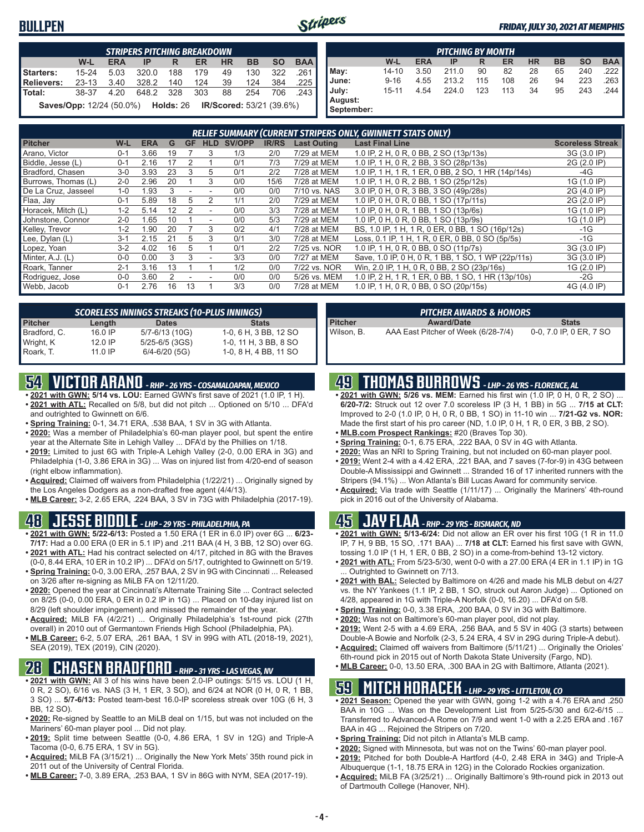### **BULLPEN**



#### *FRIDAY, JULY 30, 2021 AT MEMPHIS*

|                                                                                                | <b>STRIPERS PITCHING BREAKDOWN</b> |      |           |     |     |    |     |       |         |  |  |  |  |  |
|------------------------------------------------------------------------------------------------|------------------------------------|------|-----------|-----|-----|----|-----|-------|---------|--|--|--|--|--|
| <b>BAA</b><br><b>BB</b><br><b>SO</b><br>W-L<br><b>HR</b><br><b>ERA</b><br><b>ER</b><br>IP<br>R |                                    |      |           |     |     |    |     |       |         |  |  |  |  |  |
| Starters:                                                                                      | 15-24                              | 5.03 | 320.0     | 188 | 179 | 49 | 130 | 322   | .261 l  |  |  |  |  |  |
| Relievers:                                                                                     | 23-13 3.40                         |      | 328.2 140 |     | 124 | 39 | 124 | - 384 | .225    |  |  |  |  |  |
| Total:                                                                                         | 38-37 4.20                         |      | 648.2 328 |     | 303 | 88 | 254 |       | 706 243 |  |  |  |  |  |
| <b>Saves/Opp:</b> 12/24 (50.0%) <b>Holds: 26 IR/Scored: 53/21 (39.6%)</b>                      |                                    |      |           |     |     |    |     |       |         |  |  |  |  |  |

| <b>PITCHING BY MONTH</b> |           |            |       |     |     |           |           |           |            |
|--------------------------|-----------|------------|-------|-----|-----|-----------|-----------|-----------|------------|
|                          | W-L       | <b>ERA</b> | IP    | R   | ER  | <b>HR</b> | <b>BB</b> | <b>SO</b> | <b>BAA</b> |
| May:                     | $14 - 10$ | 3.50       | 211.0 | 90  | 82  | 28        | 65        | 240       | 222        |
| June:                    | $9 - 16$  | 4.55       | 213.2 | 115 | 108 | 26        | 94        | 223       | 263        |
| July:                    | $15 - 11$ | 4.54       | 224.0 | 123 | 113 | 34        | 95        | 243       | 244        |
| August:<br>September:    |           |            |       |     |     |           |           |           |            |

| RELIEF SUMMARY (CURRENT STRIPERS ONLY, GWINNETT STATS ONLY) |         |            |    |           |                          |        |              |                    |                                                    |                         |
|-------------------------------------------------------------|---------|------------|----|-----------|--------------------------|--------|--------------|--------------------|----------------------------------------------------|-------------------------|
| <b>Pitcher</b>                                              | W-L     | <b>ERA</b> | G  | <b>GF</b> | <b>HLD</b>               | SV/OPP | <b>IR/RS</b> | <b>Last Outing</b> | <b>Last Final Line</b>                             | <b>Scoreless Streak</b> |
| Arano, Victor                                               | $0 - 1$ | 3.66       | 19 |           | 3                        | 1/3    | 2/0          | 7/29 at MEM        | 1.0 IP, 2 H, 0 R, 0 BB, 2 SO (13p/13s)             | 3G (3.0 IP)             |
| Biddle, Jesse (L)                                           | $0 - 1$ | 2.16       | 17 |           |                          | 0/1    | 7/3          | 7/29 at MEM        | 1.0 IP, 1 H, 0 R, 2 BB, 3 SO (28p/13s)             | 2G (2.0 IP)             |
| Bradford, Chasen                                            | $3 - 0$ | 3.93       | 23 | 3         | 5                        | 0/1    | 2/2          | 7/28 at MEM        | 1.0 IP, 1 H, 1 R, 1 ER, 0 BB, 2 SO, 1 HR (14p/14s) | -4G                     |
| Burrows, Thomas (L)                                         | $2 - 0$ | 2.96       | 20 |           | 3                        | 0/0    | 15/6         | 7/28 at MEM        | 1.0 IP, 1 H, 0 R, 2 BB, 1 SO (25p/12s)             | 1G (1.0 IP)             |
| De La Cruz, Jasseel                                         | $1 - 0$ | .93        |    |           |                          | 0/0    | 0/0          | 7/10 vs. NAS       | 3.0 IP, 0 H, 0 R, 3 BB, 3 SO (49p/28s)             | 2G (4.0 IP)             |
| Flaa, Jay                                                   | $0 - 1$ | 5.89       | 18 | 5         | 2                        | 1/1    | 2/0          | 7/29 at MEM        | 1.0 IP, 0 H, 0 R, 0 BB, 1 SO (17p/11s)             | 2G (2.0 IP)             |
| Horacek, Mitch (L)                                          | $1 - 2$ | 5.14       | 12 |           |                          | 0/0    | 3/3          | 7/28 at MEM        | 1.0 IP, 0 H, 0 R, 1 BB, 1 SO (13p/6s)              | 1G (1.0 IP)             |
| Johnstone, Connor                                           | $2 - 0$ | l.65       | 10 |           | $\overline{\phantom{a}}$ | 0/0    | 5/3          | 7/29 at MEM        | 1.0 IP, 0 H, 0 R, 0 BB, 1 SO (13p/9s)              | 1G (1.0 IP)             |
| Kelley, Trevor                                              | $1 - 2$ | .90        | 20 |           | 3                        | 0/2    | 4/1          | 7/28 at MEM        | BS, 1.0 IP, 1 H, 1 R, 0 ER, 0 BB, 1 SO (16p/12s)   | $-1G$                   |
| Lee, Dylan (L)                                              | $3 - 1$ | 2.15       | 21 | 5         | 3                        | 0/1    | 3/0          | 7/28 at MEM        | Loss, 0.1 IP, 1 H, 1 R, 0 ER, 0 BB, 0 SO (5p/5s)   | $-1G$                   |
| Lopez, Yoan                                                 | $3 - 2$ | 4.02       | 16 | 5         |                          | 0/1    | 2/2          | 7/25 vs. NOR       | 1.0 IP, 1 H, 0 R, 0 BB, 0 SO (11p/7s)              | 3G (3.0 IP)             |
| Minter, A.J. (L)                                            | $0 - 0$ | 0.00       |    | 3         | $\overline{\phantom{a}}$ | 3/3    | 0/0          | 7/27 at MEM        | Save, 1.0 IP, 0 H, 0 R, 1 BB, 1 SO, 1 WP (22p/11s) | 3G (3.0 IP)             |
| Roark, Tanner                                               | $2 - 1$ | 3.16       | 13 |           |                          | 1/2    | 0/0          | 7/22 vs. NOR       | Win, 2.0 IP, 1 H, 0 R, 0 BB, 2 SO (23p/16s)        | 1G (2.0 IP)             |
| Rodriguez, Jose                                             | $0 - 0$ | 3.60       |    |           |                          | 0/0    | 0/0          | 5/26 vs. MEM       | 1.0 IP, 2 H, 1 R, 1 ER, 0 BB, 1 SO, 1 HR (13p/10s) | $-2G$                   |
| Webb, Jacob                                                 | $0 - 1$ | 2.76       | 16 | 13        |                          | 3/3    | 0/0          | 7/28 at MEM        | 1.0 IP, 1 H, 0 R, 0 BB, 0 SO (20p/15s)             | 4G (4.0 IP)             |

| <b>SCORELESS INNINGS STREAKS (10-PLUS INNINGS)</b> |           |                    |                       |  |  |  |  |  |
|----------------------------------------------------|-----------|--------------------|-----------------------|--|--|--|--|--|
| <b>Pitcher</b>                                     | Length    | <b>Dates</b>       | <b>Stats</b>          |  |  |  |  |  |
| Bradford, C.                                       | 16.0 IP   | 5/7-6/13 (10G)     | 1-0, 6 H, 3 BB, 12 SO |  |  |  |  |  |
| Wright, K                                          | $12.0$ IP | $5/25 - 6/5$ (3GS) | 1-0, 11 H, 3 BB, 8 SO |  |  |  |  |  |
| Roark, T.                                          | 11.0 IP   | $6/4 - 6/20$ (5G)  | 1-0, 8 H, 4 BB, 11 SO |  |  |  |  |  |

## **54 VICTOR ARANO** *- RHP - 26 YRS - COSAMALOAPAN, MEXICO*

- **• 2021 with GWN: 5/14 vs. LOU:** Earned GWN's first save of 2021 (1.0 IP, 1 H). **• 2021 with ATL:** Recalled on 5/8, but did not pitch ... Optioned on 5/10 ... DFA'd and outrighted to Gwinnett on 6/6.
- **• Spring Training:** 0-1, 34.71 ERA, .538 BAA, 1 SV in 3G with Atlanta.
- **• 2020:** Was a member of Philadelphia's 60-man player pool, but spent the entire year at the Alternate Site in Lehigh Valley ... DFA'd by the Phillies on 1/18.
- **• 2019:** Limited to just 6G with Triple-A Lehigh Valley (2-0, 0.00 ERA in 3G) and Philadelphia (1-0, 3.86 ERA in 3G) ... Was on injured list from 4/20-end of season (right elbow inflammation).
- **• Acquired:** Claimed off waivers from Philadelphia (1/22/21) ... Originally signed by the Los Angeles Dodgers as a non-drafted free agent (4/4/13).
- **• MLB Career:** 3-2, 2.65 ERA, .224 BAA, 3 SV in 73G with Philadelphia (2017-19).

### **48 JESSE BIDDLE** *- LHP - 29 YRS - PHILADELPHIA, PA*

- **• 2021 with GWN: 5/22-6/13:** Posted a 1.50 ERA (1 ER in 6.0 IP) over 6G ... **6/23- 7/17:** Had a 0.00 ERA (0 ER in 5.1 IP) and .211 BAA (4 H, 3 BB, 12 SO) over 6G. **• 2021 with ATL:** Had his contract selected on 4/17, pitched in 8G with the Braves
- (0-0, 8.44 ERA, 10 ER in 10.2 IP) ... DFA'd on 5/17, outrighted to Gwinnett on 5/19. **• Spring Training:** 0-0, 3.00 ERA, .257 BAA, 2 SV in 9G with Cincinnati ... Released
- on 3/26 after re-signing as MiLB FA on 12/11/20. **• 2020:** Opened the year at Cincinnati's Alternate Training Site ... Contract selected on 8/25 (0-0, 0.00 ERA, 0 ER in 0.2 IP in 1G) ... Placed on 10-day injured list on
- 8/29 (left shoulder impingement) and missed the remainder of the year. **• Acquired:** MiLB FA (4/2/21) ... Originally Philadelphia's 1st-round pick (27th overall) in 2010 out of Germantown Friends High School (Philadelphia, PA).
- **• MLB Career:** 6-2, 5.07 ERA, .261 BAA, 1 SV in 99G with ATL (2018-19, 2021), SEA (2019), TEX (2019), CIN (2020).

### **28 CHASEN BRADFORD** *- RHP - 31 YRS - LAS VEGAS, NV*

- **• 2021 with GWN:** All 3 of his wins have been 2.0-IP outings: 5/15 vs. LOU (1 H, 0 R, 2 SO), 6/16 vs. NAS (3 H, 1 ER, 3 SO), and 6/24 at NOR (0 H, 0 R, 1 BB, 3 SO) ... **5/7-6/13:** Posted team-best 16.0-IP scoreless streak over 10G (6 H, 3 BB, 12 SO).
- **• 2020:** Re-signed by Seattle to an MiLB deal on 1/15, but was not included on the Mariners' 60-man player pool ... Did not play.
- **• 2019:** Split time between Seattle (0-0, 4.86 ERA, 1 SV in 12G) and Triple-A Tacoma (0-0, 6.75 ERA, 1 SV in 5G).
- **• Acquired:** MiLB FA (3/15/21) ... Originally the New York Mets' 35th round pick in 2011 out of the University of Central Florida.
- **• MLB Career:** 7-0, 3.89 ERA, .253 BAA, 1 SV in 86G with NYM, SEA (2017-19).

| <b>PITCHER AWARDS &amp; HONORS</b> |                                     |                         |  |  |  |  |  |  |
|------------------------------------|-------------------------------------|-------------------------|--|--|--|--|--|--|
| Pitcher                            | <b>Award/Date</b>                   | <b>Stats</b>            |  |  |  |  |  |  |
| l Wilson. B.                       | AAA East Pitcher of Week (6/28-7/4) | 0-0, 7.0 IP, 0 ER, 7 SO |  |  |  |  |  |  |

### **49 THOMAS BURROWS** *- LHP - 26 YRS - FLORENCE, AL*

- **• 2021 with GWN: 5/26 vs. MEM:** Earned his first win (1.0 IP, 0 H, 0 R, 2 SO) ... **6/20-7/2:** Struck out 12 over 7.0 scoreless IP (3 H, 1 BB) in 5G ... **7/15 at CLT:** Improved to 2-0 (1.0 IP, 0 H, 0 R, 0 BB, 1 SO) in 11-10 win ... **7/21-G2 vs. NOR:** Made the first start of his pro career (ND, 1.0 IP, 0 H, 1 R, 0 ER, 3 BB, 2 SO).
- **• MLB.com Prospect Rankings:** #20 (Braves Top 30).
- **• Spring Training:** 0-1, 6.75 ERA, .222 BAA, 0 SV in 4G with Atlanta.
- **• 2020:** Was an NRI to Spring Training, but not included on 60-man player pool.
- **• 2019:** Went 2-4 with a 4.42 ERA, .221 BAA, and 7 saves (7-for-9) in 43G between Double-A Mississippi and Gwinnett ... Stranded 16 of 17 inherited runners with the Stripers (94.1%) ... Won Atlanta's Bill Lucas Award for community service.
- **• Acquired:** Via trade with Seattle (1/11/17) ... Originally the Mariners' 4th-round pick in 2016 out of the University of Alabama.

### **45 JAY FLAA** *- RHP - 29 YRS - BISMARCK, ND*

- **• 2021 with GWN: 5/13-6/24:** Did not allow an ER over his first 10G (1 R in 11.0 IP, 7 H, 9 BB, 15 SO, .171 BAA) ... **7/18 at CLT:** Earned his first save with GWN, tossing 1.0 IP (1 H, 1 ER, 0 BB, 2 SO) in a come-from-behind 13-12 victory.
- **• 2021 with ATL:** From 5/23-5/30, went 0-0 with a 27.00 ERA (4 ER in 1.1 IP) in 1G Outrighted to Gwinnett on 7/13.
- **• 2021 with BAL:** Selected by Baltimore on 4/26 and made his MLB debut on 4/27 vs. the NY Yankees (1.1 IP, 2 BB, 1 SO, struck out Aaron Judge) ... Optioned on 4/28, appeared in 1G with Triple-A Norfolk (0-0, 16.20) ... DFA'd on 5/8.
- **• Spring Training:** 0-0, 3.38 ERA, .200 BAA, 0 SV in 3G with Baltimore.
- **• 2020:** Was not on Baltimore's 60-man player pool, did not play.
- **• 2019:** Went 2-5 with a 4.69 ERA, .256 BAA, and 5 SV in 40G (3 starts) between Double-A Bowie and Norfolk (2-3, 5.24 ERA, 4 SV in 29G during Triple-A debut).
- **• Acquired:** Claimed off waivers from Baltimore (5/11/21) ... Originally the Orioles' 6th-round pick in 2015 out of North Dakota State University (Fargo, ND).
- **• MLB Career:** 0-0, 13.50 ERA, .300 BAA in 2G with Baltimore, Atlanta (2021).

### **59 MITCH HORACEK** *- LHP - 29 YRS - LITTLETON, CO*

- **• 2021 Season:** Opened the year with GWN, going 1-2 with a 4.76 ERA and .250 BAA in 10G ... Was on the Development List from 5/25-5/30 and 6/2-6/15 ... Transferred to Advanced-A Rome on 7/9 and went 1-0 with a 2.25 ERA and .167 BAA in 4G ... Rejoined the Stripers on 7/20.
- **• Spring Training:** Did not pitch in Atlanta's MLB camp.
- **• 2020:** Signed with Minnesota, but was not on the Twins' 60-man player pool.
- **• 2019:** Pitched for both Double-A Hartford (4-0, 2.48 ERA in 34G) and Triple-A
- Albuquerque (1-1, 18.75 ERA in 12G) in the Colorado Rockies organization. **• Acquired:** MiLB FA (3/25/21) ... Originally Baltimore's 9th-round pick in 2013 out
- of Dartmouth College (Hanover, NH).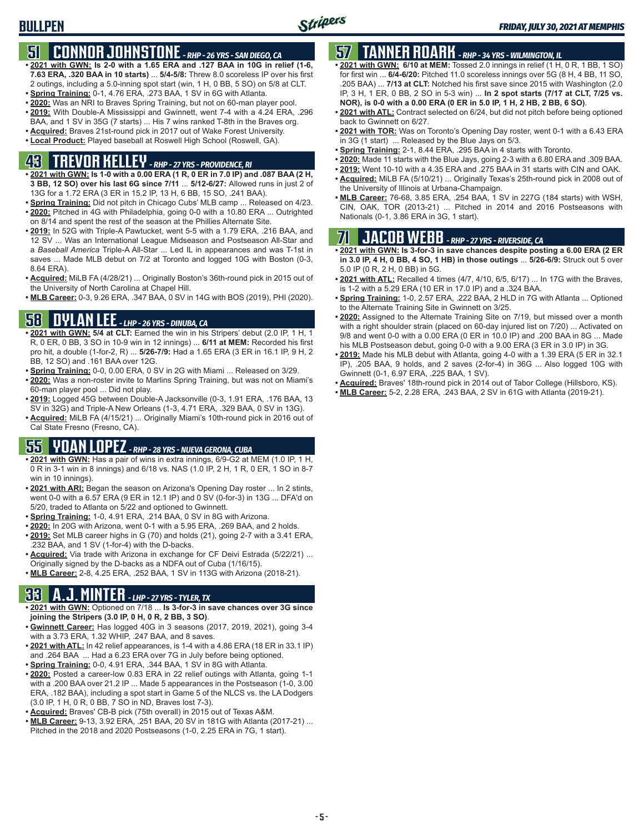# **51 CONNOR JOHNSTONE** *- RHP - 26 YRS - SAN DIEGO, CA*

- **• 2021 with GWN: Is 2-0 with a 1.65 ERA and .127 BAA in 10G in relief (1-6, 7.63 ERA, .320 BAA in 10 starts)** ... **5/4-5/8:** Threw 8.0 scoreless IP over his first 2 outings, including a 5.0-inning spot start (win, 1 H, 0 BB, 5 SO) on 5/8 at CLT.
- **• Spring Training:** 0-1, 4.76 ERA, .273 BAA, 1 SV in 6G with Atlanta.
- **• 2020:** Was an NRI to Braves Spring Training, but not on 60-man player pool. **• 2019:** With Double-A Mississippi and Gwinnett, went 7-4 with a 4.24 ERA, .296
- BAA, and 1 SV in 35G (7 starts) ... His 7 wins ranked T-8th in the Braves org. **• Acquired:** Braves 21st-round pick in 2017 out of Wake Forest University.
- **• Local Product:** Played baseball at Roswell High School (Roswell, GA).

# **43 TREVOR KELLEY** *- RHP - 27 YRS - PROVIDENCE, RI*

- **• 2021 with GWN: Is 1-0 with a 0.00 ERA (1 R, 0 ER in 7.0 IP) and .087 BAA (2 H, 3 BB, 12 SO) over his last 6G since 7/11** ... **5/12-6/27:** Allowed runs in just 2 of 13G for a 1.72 ERA (3 ER in 15.2 IP, 13 H, 6 BB, 15 SO, .241 BAA).
- **• Spring Training:** Did not pitch in Chicago Cubs' MLB camp ... Released on 4/23. **• 2020:** Pitched in 4G with Philadelphia, going 0-0 with a 10.80 ERA ... Outrighted on 8/14 and spent the rest of the season at the Phillies Alternate Site.
- **• 2019:** In 52G with Triple-A Pawtucket, went 5-5 with a 1.79 ERA, .216 BAA, and 12 SV ... Was an International League Midseason and Postseason All-Star and a *Baseball America* Triple-A All-Star ... Led IL in appearances and was T-1st in saves ... Made MLB debut on 7/2 at Toronto and logged 10G with Boston (0-3, 8.64 ERA).
- **• Acquired:** MiLB FA (4/28/21) ... Originally Boston's 36th-round pick in 2015 out of the University of North Carolina at Chapel Hill.
- **• MLB Career:** 0-3, 9.26 ERA, .347 BAA, 0 SV in 14G with BOS (2019), PHI (2020).

# **58 DYLAN LEE** *- LHP - 26 YRS - DINUBA, CA*

- **• 2021 with GWN: 5/4 at CLT:** Earned the win in his Stripers' debut (2.0 IP, 1 H, 1 R, 0 ER, 0 BB, 3 SO in 10-9 win in 12 innings) ... **6/11 at MEM:** Recorded his first pro hit, a double (1-for-2, R) ... **5/26-7/9:** Had a 1.65 ERA (3 ER in 16.1 IP, 9 H, 2 BB, 12 SO) and .161 BAA over 12G.
- **• Spring Training:** 0-0, 0.00 ERA, 0 SV in 2G with Miami ... Released on 3/29.
- **• 2020:** Was a non-roster invite to Marlins Spring Training, but was not on Miami's 60-man player pool ... Did not play.
- **• 2019:** Logged 45G between Double-A Jacksonville (0-3, 1.91 ERA, .176 BAA, 13 SV in 32G) and Triple-A New Orleans (1-3, 4.71 ERA, .329 BAA, 0 SV in 13G).
- **• Acquired:** MiLB FA (4/15/21) ... Originally Miami's 10th-round pick in 2016 out of Cal State Fresno (Fresno, CA).

### **55 YOAN LOPEZ** *- RHP - 28 YRS - NUEVA GERONA, CUBA*

- **• 2021 with GWN:** Has a pair of wins in extra innings, 6/9-G2 at MEM (1.0 IP, 1 H, 0 R in 3-1 win in 8 innings) and 6/18 vs. NAS (1.0 IP, 2 H, 1 R, 0 ER, 1 SO in 8-7 win in 10 innings).
- **• 2021 with ARI:** Began the season on Arizona's Opening Day roster ... In 2 stints, went 0-0 with a 6.57 ERA (9 ER in 12.1 IP) and 0 SV (0-for-3) in 13G ... DFA'd on 5/20, traded to Atlanta on 5/22 and optioned to Gwinnett.
- **• Spring Training:** 1-0, 4.91 ERA, .214 BAA, 0 SV in 8G with Arizona.
- **• 2020:** In 20G with Arizona, went 0-1 with a 5.95 ERA, .269 BAA, and 2 holds.
- **• 2019:** Set MLB career highs in G (70) and holds (21), going 2-7 with a 3.41 ERA, .232 BAA, and 1 SV (1-for-4) with the D-backs.
- **• Acquired:** Via trade with Arizona in exchange for CF Deivi Estrada (5/22/21) ... Originally signed by the D-backs as a NDFA out of Cuba (1/16/15).
- **• MLB Career:** 2-8, 4.25 ERA, .252 BAA, 1 SV in 113G with Arizona (2018-21).

### **33 A.J. MINTER** *- LHP - 27 YRS - TYLER, TX*

- **• 2021 with GWN:** Optioned on 7/18 ... **Is 3-for-3 in save chances over 3G since joining the Stripers (3.0 IP, 0 H, 0 R, 2 BB, 3 SO)**.
- **• Gwinnett Career:** Has logged 40G in 3 seasons (2017, 2019, 2021), going 3-4 with a 3.73 ERA, 1.32 WHIP, .247 BAA, and 8 saves.
- **• 2021 with ATL:** In 42 relief appearances, is 1-4 with a 4.86 ERA (18 ER in 33.1 IP) and .264 BAA ... Had a 6.23 ERA over 7G in July before being optioned.
- **• Spring Training:** 0-0, 4.91 ERA, .344 BAA, 1 SV in 8G with Atlanta.
- **• 2020:** Posted a career-low 0.83 ERA in 22 relief outings with Atlanta, going 1-1 with a .200 BAA over 21.2 IP ... Made 5 appearances in the Postseason (1-0, 3.00 ERA, .182 BAA), including a spot start in Game 5 of the NLCS vs. the LA Dodgers (3.0 IP, 1 H, 0 R, 0 BB, 7 SO in ND, Braves lost 7-3).
- **• Acquired:** Braves' CB-B pick (75th overall) in 2015 out of Texas A&M.
- **• MLB Career:** 9-13, 3.92 ERA, .251 BAA, 20 SV in 181G with Atlanta (2017-21) ... Pitched in the 2018 and 2020 Postseasons (1-0, 2.25 ERA in 7G, 1 start).

# **57 TANNER ROARK** *- RHP - 34 YRS - WILMINGTON, IL*

- **• 2021 with GWN: 6/10 at MEM:** Tossed 2.0 innings in relief (1 H, 0 R, 1 BB, 1 SO) for first win ... **6/4-6/20:** Pitched 11.0 scoreless innings over 5G (8 H, 4 BB, 11 SO, .205 BAA) ... **7/13 at CLT:** Notched his first save since 2015 with Washington (2.0 IP, 3 H, 1 ER, 0 BB, 2 SO in 5-3 win) ... **In 2 spot starts (7/17 at CLT, 7/25 vs. NOR), is 0-0 with a 0.00 ERA (0 ER in 5.0 IP, 1 H, 2 HB, 2 BB, 6 SO)**.
- **• 2021 with ATL:** Contract selected on 6/24, but did not pitch before being optioned back to Gwinnett on 6/27.
- **• 2021 with TOR:** Was on Toronto's Opening Day roster, went 0-1 with a 6.43 ERA in 3G (1 start) ... Released by the Blue Jays on 5/3.
- **• Spring Training:** 2-1, 8.44 ERA, .295 BAA in 4 starts with Toronto.
- **• 2020:** Made 11 starts with the Blue Jays, going 2-3 with a 6.80 ERA and .309 BAA.
- **• 2019:** Went 10-10 with a 4.35 ERA and .275 BAA in 31 starts with CIN and OAK. **• Acquired:** MiLB FA (5/10/21) ... Originally Texas's 25th-round pick in 2008 out of
- the University of Illinois at Urbana-Champaign. **• MLB Career:** 76-68, 3.85 ERA, .254 BAA, 1 SV in 227G (184 starts) with WSH, CIN, OAK, TOR (2013-21) ... Pitched in 2014 and 2016 Postseasons with Nationals (0-1, 3.86 ERA in 3G, 1 start).

## **71 JACOB WEBB** *- RHP - 27 YRS - RIVERSIDE, CA*

- **• 2021 with GWN: Is 3-for-3 in save chances despite posting a 6.00 ERA (2 ER in 3.0 IP, 4 H, 0 BB, 4 SO, 1 HB) in those outings** ... **5/26-6/9:** Struck out 5 over 5.0 IP (0 R, 2 H, 0 BB) in 5G.
- **• 2021 with ATL:** Recalled 4 times (4/7, 4/10, 6/5, 6/17) ... In 17G with the Braves, is 1-2 with a 5.29 ERA (10 ER in 17.0 IP) and a .324 BAA.
- **• Spring Training:** 1-0, 2.57 ERA, .222 BAA, 2 HLD in 7G with Atlanta ... Optioned to the Alternate Training Site in Gwinnett on 3/25.
- **• 2020:** Assigned to the Alternate Training Site on 7/19, but missed over a month with a right shoulder strain (placed on 60-day injured list on 7/20) ... Activated on 9/8 and went 0-0 with a 0.00 ERA (0 ER in 10.0 IP) and .200 BAA in 8G ... Made his MLB Postseason debut, going 0-0 with a 9.00 ERA (3 ER in 3.0 IP) in 3G.
- **• 2019:** Made his MLB debut with Atlanta, going 4-0 with a 1.39 ERA (5 ER in 32.1 IP), .205 BAA, 9 holds, and 2 saves (2-for-4) in 36G ... Also logged 10G with Gwinnett (0-1, 6.97 ERA, .225 BAA, 1 SV).
- **• Acquired:** Braves' 18th-round pick in 2014 out of Tabor College (Hillsboro, KS).
- **• MLB Career:** 5-2, 2.28 ERA, .243 BAA, 2 SV in 61G with Atlanta (2019-21).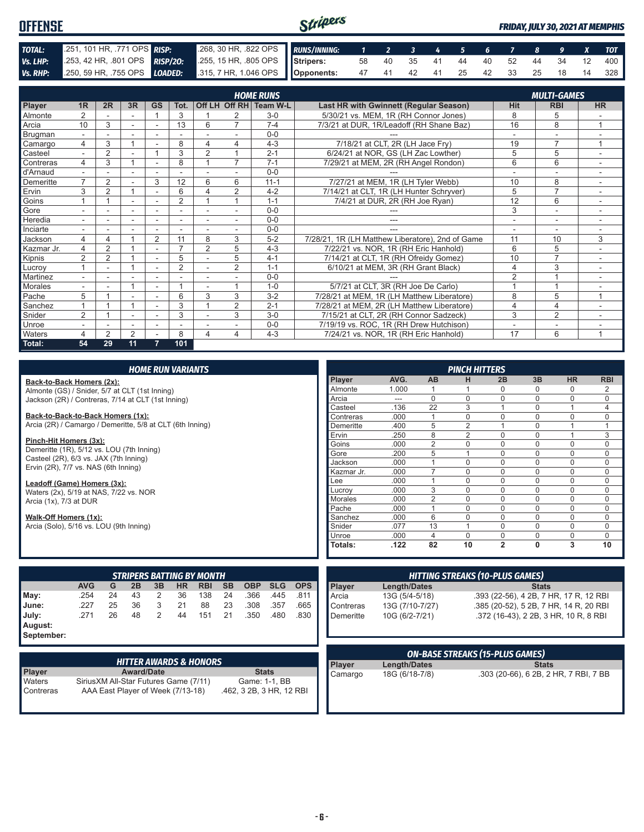#### Stripers **OFFENSE** *FRIDAY, JULY 30, 2021 AT MEMPHIS TOTAL:* .251, 101 HR, .771 OPS *RISP:* .268, 30 HR, .822 OPS *RUNS/INNING: 1 2 3 4 5 6 7 8 9 X TOT Vs. LHP:* .253, 42 HR, .801 OPS *RISP/2O:* .255, 15 HR, .805 OPS **Stripers:** 58 40 35 41 44 40 52 44 34 12 400 *Vs. RHP:* .250, 59 HR, .755 OPS *LOADED:* **Opponents:** 47 41 42 41 25 42 33 25 18 14 328

|                |                          |                |                |                          |                |                |                | <b>HOME RUNS</b>       |                                                  |                | <b>MULTI-GAMES</b> |                |
|----------------|--------------------------|----------------|----------------|--------------------------|----------------|----------------|----------------|------------------------|--------------------------------------------------|----------------|--------------------|----------------|
| Player         | 1R                       | 2R             | 3R             | <b>GS</b>                | Tot.           |                |                | Off LH Off RH Team W-L | Last HR with Gwinnett (Regular Season)           | Hit            | <b>RBI</b>         | <b>HR</b>      |
| Almonte        | $\overline{2}$           |                |                |                          | 3              |                |                | $3-0$                  | 5/30/21 vs. MEM, 1R (RH Connor Jones)            | 8              | 5                  |                |
| Arcia          | 10                       | 3              |                |                          | 13             | 6              | $\overline{ }$ | $7 - 4$                | 7/3/21 at DUR, 1R/Leadoff (RH Shane Baz)         | 16             | 8                  |                |
| <b>Brugman</b> | $\overline{\phantom{0}}$ |                | $\sim$         | $\overline{\phantom{a}}$ |                |                |                | $0 - 0$                |                                                  | $\overline{a}$ | ٠                  |                |
| Camargo        | 4                        | 3              |                |                          | 8              | $\overline{4}$ | 4              | $4 - 3$                | 7/18/21 at CLT, 2R (LH Jace Fry)                 | 19             | $\overline{7}$     |                |
| Casteel        |                          | $\overline{2}$ |                |                          | 3              | $\overline{2}$ |                | $2 - 1$                | 6/24/21 at NOR, GS (LH Zac Lowther)              | 5              | 5                  |                |
| Contreras      | 4                        | 3              | $\overline{ }$ |                          | 8              |                | $\overline{7}$ | $7 - 1$                | 7/29/21 at MEM, 2R (RH Angel Rondon)             | 6              | 6                  |                |
| d'Arnaud       | $\overline{\phantom{0}}$ |                |                |                          |                |                |                | $0 - 0$                |                                                  |                |                    |                |
| Demeritte      | $\overline{ }$           | $\overline{2}$ |                | 3                        | 12             | 6              | 6              | $11 - 1$               | 7/27/21 at MEM, 1R (LH Tyler Webb)               | 10             | 8                  |                |
| Ervin          | 3                        | $\overline{2}$ | 1              |                          | 6              | 4              | 2              | $4 - 2$                | 7/14/21 at CLT, 1R (LH Hunter Schryver)          | 5              | $\overline{7}$     |                |
| Goins          |                          |                |                |                          | 2              |                |                | $1 - 1$                | 7/4/21 at DUR, 2R (RH Joe Ryan)                  | 12             | 6                  |                |
| Gore           |                          |                |                |                          |                |                |                | $0 - 0$                |                                                  | 3              | ٠                  |                |
| Heredia        | ٠.                       |                |                |                          |                |                |                | $0 - 0$                |                                                  | ۰              | ۰                  |                |
| Inciarte       |                          |                |                |                          |                |                |                | $0 - 0$                |                                                  |                |                    |                |
| Jackson        | 4                        | 4              |                | $\overline{2}$           | 11             | 8              | 3              | $5 - 2$                | 7/28/21, 1R (LH Matthew Liberatore), 2nd of Game | 11             | 10                 | 3              |
| Kazmar Jr.     | 4                        | $\overline{2}$ | $\overline{ }$ | $\overline{\phantom{a}}$ | $\overline{ }$ | $\overline{2}$ | 5              | $4 - 3$                | 7/22/21 vs. NOR, 1R (RH Eric Hanhold)            | 6              | 5                  |                |
| Kipnis         | $\overline{2}$           | 2              |                |                          | 5              |                | 5              | $4 - 1$                | 7/14/21 at CLT, 1R (RH Ofreidy Gomez)            | 10             | $\overline{7}$     |                |
| Lucrov         |                          | ۰              |                |                          | $\overline{2}$ |                | 2              | $1 - 1$                | 6/10/21 at MEM, 3R (RH Grant Black)              | 4              | 3                  |                |
| Martinez       | $\overline{\phantom{0}}$ |                |                |                          |                |                |                | $0 - 0$                |                                                  | $\overline{2}$ |                    |                |
| <b>Morales</b> |                          |                |                |                          |                |                |                | $1 - 0$                | 5/7/21 at CLT, 3R (RH Joe De Carlo)              |                |                    |                |
| Pache          | 5                        |                |                | $\overline{\phantom{a}}$ | 6              | 3              | 3              | $3 - 2$                | 7/28/21 at MEM, 1R (LH Matthew Liberatore)       | 8              | 5                  | $\overline{1}$ |
| Sanchez        |                          |                | $\overline{ }$ |                          | 3              |                | 2              | $2 - 1$                | 7/28/21 at MEM, 2R (LH Matthew Liberatore)       | 4              | 4                  |                |
| Snider         | $\overline{2}$           |                |                |                          | 3              |                | 3              | $3-0$                  | 7/15/21 at CLT, 2R (RH Connor Sadzeck)           | 3              | $\overline{2}$     |                |
| Unroe          |                          |                |                | $\overline{\phantom{a}}$ |                |                |                | $0 - 0$                | 7/19/19 vs. ROC, 1R (RH Drew Hutchison)          |                | ٠                  |                |
| Waters         | 4                        | $\mathfrak{p}$ | $\overline{2}$ |                          | 8              | 4              | 4              | $4 - 3$                | 7/24/21 vs. NOR, 1R (RH Eric Hanhold)            | 17             | 6                  | $\overline{A}$ |
| Total:         | 54                       | 29             | 11             | 7                        | 101            |                |                |                        |                                                  |                |                    |                |

| <b>HOME RUN VARIANTS</b>                                                  |            |    |    |    |           |                                  |                 |            |            |            |                |                                        | <b>PINCH HITTERS</b> |                                        |                |              |                                        |             |
|---------------------------------------------------------------------------|------------|----|----|----|-----------|----------------------------------|-----------------|------------|------------|------------|----------------|----------------------------------------|----------------------|----------------------------------------|----------------|--------------|----------------------------------------|-------------|
| Back-to-Back Homers (2x):                                                 |            |    |    |    |           |                                  |                 |            |            |            | Player         | AVG.                                   | <b>AB</b>            | н                                      | 2B             | 3B           | <b>HR</b>                              | <b>RBI</b>  |
| Almonte (GS) / Snider, 5/7 at CLT (1st Inning)                            |            |    |    |    |           |                                  |                 |            |            |            | Almonte        | 1.000                                  |                      |                                        | $\Omega$       | 0            | 0                                      | 2           |
| Jackson (2R) / Contreras, 7/14 at CLT (1st Inning)                        |            |    |    |    |           |                                  |                 |            |            |            | Arcia          | $\qquad \qquad \cdots$                 | $\Omega$             | $\Omega$                               | $\Omega$       | $\Omega$     | $\Omega$                               | $\mathbf 0$ |
|                                                                           |            |    |    |    |           |                                  |                 |            |            |            | Casteel        | .136                                   | 22                   | 3                                      |                | 0            |                                        | 4           |
| Back-to-Back-to-Back Homers (1x):                                         |            |    |    |    |           |                                  |                 |            |            |            | Contreras      | .000                                   |                      | $\Omega$                               | $\Omega$       | $\Omega$     | $\Omega$                               | $\mathbf 0$ |
| Arcia (2R) / Camargo / Demeritte, 5/8 at CLT (6th Inning)                 |            |    |    |    |           |                                  |                 |            |            |            | Demeritte      | .400                                   | 5                    | $\overline{2}$                         |                | 0            |                                        |             |
|                                                                           |            |    |    |    |           |                                  |                 |            |            |            | Ervin          | .250                                   | 8                    | $\overline{2}$                         | $\Omega$       | 0            |                                        | 3           |
| Pinch-Hit Homers (3x):                                                    |            |    |    |    |           |                                  |                 |            |            |            | Goins          | .000                                   | $\overline{2}$       | $\Omega$                               | $\Omega$       | 0            | 0                                      | $\mathbf 0$ |
| Demeritte (1R), 5/12 vs. LOU (7th Inning)                                 |            |    |    |    |           |                                  |                 |            |            |            | Gore           | .200                                   | 5                    |                                        | $\Omega$       | $\Omega$     | $\Omega$                               | $\mathbf 0$ |
| Casteel (2R), 6/3 vs. JAX (7th Inning)                                    |            |    |    |    |           |                                  |                 |            |            |            | Jackson        | .000                                   |                      | $\Omega$                               | $\Omega$       | $\Omega$     | 0                                      | $\mathbf 0$ |
| Ervin (2R), 7/7 vs. NAS (6th Inning)                                      |            |    |    |    |           |                                  |                 |            |            |            | Kazmar Jr.     | .000                                   | $\overline{7}$       | $\Omega$                               | $\Omega$       | 0            | 0                                      | $\mathbf 0$ |
| Leadoff (Game) Homers (3x):                                               |            |    |    |    |           |                                  |                 |            |            |            | Lee            | .000                                   | $\overline{1}$       | $\Omega$                               | $\Omega$       | 0            | 0                                      | $\mathbf 0$ |
| Waters (2x), 5/19 at NAS, 7/22 vs. NOR                                    |            |    |    |    |           |                                  |                 |            |            |            | Lucrov         | .000                                   | 3                    | $\Omega$                               | $\Omega$       | $\Omega$     | $\Omega$                               | $\Omega$    |
| Arcia (1x), 7/3 at DUR                                                    |            |    |    |    |           |                                  |                 |            |            |            | <b>Morales</b> | .000                                   | $\overline{2}$       | $\Omega$                               | $\Omega$       | $\Omega$     | 0                                      | $\mathbf 0$ |
|                                                                           |            |    |    |    |           |                                  |                 |            |            |            | Pache          | .000                                   |                      | $\Omega$                               | $\Omega$       | $\Omega$     | 0                                      | $\Omega$    |
| Walk-Off Homers (1x):                                                     |            |    |    |    |           |                                  |                 |            |            |            | Sanchez        | .000                                   | 6                    | $\Omega$                               | $\mathbf 0$    | $\Omega$     | $\mathbf 0$                            | $\mathbf 0$ |
| Arcia (Solo), 5/16 vs. LOU (9th Inning)                                   |            |    |    |    |           |                                  |                 |            |            |            | Snider         | .077                                   | 13                   |                                        | $\Omega$       | $\Omega$     | $\Omega$                               | $\Omega$    |
|                                                                           |            |    |    |    |           |                                  |                 |            |            |            | Unroe          | .000                                   | 4                    | $\Omega$                               | $\mathbf 0$    | 0            | 0                                      | $\mathbf 0$ |
|                                                                           |            |    |    |    |           |                                  |                 |            |            |            | Totals:        | .122                                   | 82                   | 10                                     | $\overline{2}$ | $\mathbf{0}$ | 3                                      | 10          |
|                                                                           |            |    |    |    |           |                                  |                 |            |            |            |                |                                        |                      |                                        |                |              |                                        |             |
|                                                                           |            |    |    |    |           | <b>STRIPERS BATTING BY MONTH</b> |                 |            |            |            |                |                                        |                      | <b>HITTING STREAKS (10-PLUS GAMES)</b> |                |              |                                        |             |
|                                                                           | <b>AVG</b> | G  | 2B | 3B | <b>HR</b> | <b>RBI</b>                       | <b>SB</b>       | <b>OBP</b> | <b>SLG</b> | <b>OPS</b> | Player         | Length/Dates                           |                      |                                        |                | <b>Stats</b> |                                        |             |
| May:                                                                      | .254       | 24 | 43 | 2  | 36        | 138                              | 24              | .366       | .445       | .811       | Arcia          | 13G (5/4-5/18)                         |                      |                                        |                |              | .393 (22-56), 4 2B, 7 HR, 17 R, 12 RBI |             |
| .227<br>36<br>3<br>88<br>23<br>.308<br>.357<br>25<br>21<br>.665<br>June:  |            |    |    |    |           | Contreras                        | 13G (7/10-7/27) |            |            |            |                | .385 (20-52), 5 2B, 7 HR, 14 R, 20 RBI |                      |                                        |                |              |                                        |             |
| 26<br>48<br>2<br>21<br>.271<br>44<br>151<br>.350<br>.480<br>.830<br>July: |            |    |    |    |           | Demeritte                        | 10G (6/2-7/21)  |            |            |            |                | .372 (16-43), 2 2B, 3 HR, 10 R, 8 RBI  |                      |                                        |                |              |                                        |             |
| August:                                                                   |            |    |    |    |           |                                  |                 |            |            |            |                |                                        |                      |                                        |                |              |                                        |             |
| September:                                                                |            |    |    |    |           |                                  |                 |            |            |            |                |                                        |                      |                                        |                |              |                                        |             |

|                     | <b>HITTER AWARDS &amp; HONORS</b>                                           |                                           |
|---------------------|-----------------------------------------------------------------------------|-------------------------------------------|
| Player              | <b>Award/Date</b>                                                           | <b>Stats</b>                              |
| Waters<br>Contreras | Sirius XM All-Star Futures Game (7/11)<br>AAA East Player of Week (7/13-18) | Game: 1-1, BB<br>.462, 3 2B, 3 HR, 12 RBI |

|                                             |                | <b>ON-BASE STREAKS (15-PLUS GAMES)</b>          |
|---------------------------------------------|----------------|-------------------------------------------------|
|                                             |                |                                                 |
|                                             |                |                                                 |
| Demeritte                                   | 10G (6/2-7/21) | .372 (16-43), 2 2B, 3 HR, 10 R, 8 RBI           |
| $\blacksquare$ $\cup$ $\cup$ $\blacksquare$ | 1001111011211  | $1000$ (2002), 0 20, 1 1 11 1, 17 1 1, 20 1 101 |

| <b>ON-BASE STREAKS (15-PLUS GAMES)</b> |                |                                       |  |  |  |  |  |  |
|----------------------------------------|----------------|---------------------------------------|--|--|--|--|--|--|
| Player                                 | Length/Dates   | <b>Stats</b>                          |  |  |  |  |  |  |
| Camargo                                | 18G (6/18-7/8) | .303 (20-66), 6 2B, 2 HR, 7 RBI, 7 BB |  |  |  |  |  |  |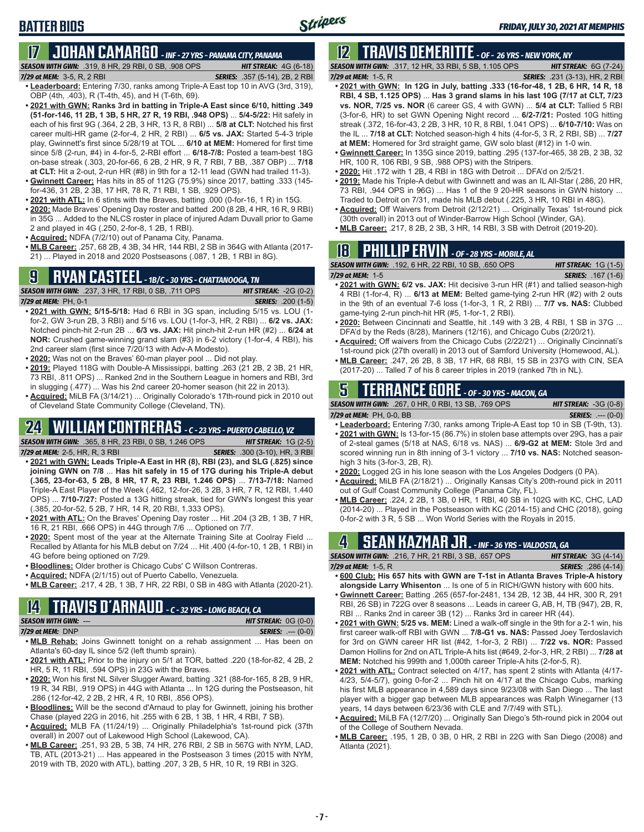## **BATTER BIOS**

# **17 JOHAN CAMARGO** *- INF - 27 YRS - PANAMA CITY, PANAMA*

*SEASON WITH GWN:*.319, 8 HR, 29 RBI, 0 SB, .908 OPS *HIT STREAK:* 4G (6-18)

- *7/29 at MEM:* 3-5, R, 2 RBI *SERIES:* .357 (5-14), 2B, 2 RBI **• Leaderboard:** Entering 7/30, ranks among Triple-A East top 10 in AVG (3rd, 319), OBP (4th, .403), R (T-4th, 45), and H (T-6th, 69).
- **• 2021 with GWN: Ranks 3rd in batting in Triple-A East since 6/10, hitting .349 (51-for-146, 11 2B, 1 3B, 5 HR, 27 R, 19 RBI, .948 OPS)** ... **5/4-5/22:** Hit safely in each of his first 9G (.364, 2 2B, 3 HR, 13 R, 8 RBI) ... **5/8 at CLT:** Notched his first career multi-HR game (2-for-4, 2 HR, 2 RBI) ... **6/5 vs. JAX:** Started 5-4-3 triple play, Gwinnett's first since 5/28/19 at TOL ... **6/10 at MEM:** Homered for first time since 5/8 (2-run, #4) in 4-for-5, 2-RBI effort ... **6/18-7/8:** Posted a team-best 18G on-base streak (.303, 20-for-66, 6 2B, 2 HR, 9 R, 7 RBI, 7 BB, .387 OBP) ... **7/18 at CLT:** Hit a 2-out, 2-run HR (#8) in 9th for a 12-11 lead (GWN had trailed 11-3).
- **• Gwinnett Career:** Has hits in 85 of 112G (75.9%) since 2017, batting .333 (145 for-436, 31 2B, 2 3B, 17 HR, 78 R, 71 RBI, 1 SB, .929 OPS).
- **• 2021 with ATL:** In 6 stints with the Braves, batting .000 (0-for-16, 1 R) in 15G.
- **• 2020:** Made Braves' Opening Day roster and batted .200 (8 2B, 4 HR, 16 R, 9 RBI) in 35G ... Added to the NLCS roster in place of injured Adam Duvall prior to Game 2 and played in 4G (.250, 2-for-8, 1 2B, 1 RBI).
- **• Acquired:** NDFA (7/2/10) out of Panama City, Panama.
- **• MLB Career:** .257, 68 2B, 4 3B, 34 HR, 144 RBI, 2 SB in 364G with Atlanta (2017- 21) ... Played in 2018 and 2020 Postseasons (.087, 1 2B, 1 RBI in 8G).

### **9 RYAN CASTEEL** *- 1B/C - 30 YRS - CHATTANOOGA, TN*

*SEASON WITH GWN:*.237, 3 HR, 17 RBI, 0 SB, .711 OPS *HIT STREAK:* -2G (0-2) *7/29 at MEM:*PH, 0-1 *SERIES:* .200 (1-5) **• 2021 with GWN: 5/15-5/18:** Had 6 RBI in 3G span, including 5/15 vs. LOU (1 for-2, GW 3-run 2B, 3 RBI) and 5/16 vs. LOU (1-for-3, HR, 2 RBI) ... **6/2 vs. JAX:**

- Notched pinch-hit 2-run 2B ... **6/3 vs. JAX:** Hit pinch-hit 2-run HR (#2) ... **6/24 at NOR:** Crushed game-winning grand slam (#3) in 6-2 victory (1-for-4, 4 RBI), his 2nd career slam (first since 7/20/13 with Adv-A Modesto).
- **• 2020:** Was not on the Braves' 60-man player pool ... Did not play.
- **• 2019:** Played 118G with Double-A Mississippi, batting .263 (21 2B, 2 3B, 21 HR, 73 RBI, .811 OPS) ... Ranked 2nd in the Southern League in homers and RBI, 3rd in slugging (.477) ... Was his 2nd career 20-homer season (hit 22 in 2013).
- **• Acquired:** MiLB FA (3/14/21) ... Originally Colorado's 17th-round pick in 2010 out of Cleveland State Community College (Cleveland, TN).

# **24 WILLIAM CONTRERAS** *- C - 23 YRS - PUERTO CABELLO, VZ*

*SEASON WITH GWN:*.365, 8 HR, 23 RBI, 0 SB, 1.246 OPS *HIT STREAK:* 1G (2-5)

- *7/29 at MEM:* 2-5, HR, R, 3 RBI *SERIES:* .300 (3-10), HR, 3 RBI
- 
- **• 2021 with GWN: Leads Triple-A East in HR (8), RBI (23), and SLG (.825) since joining GWN on 7/8** ... **Has hit safely in 15 of 17G during his Triple-A debut (.365, 23-for-63, 5 2B, 8 HR, 17 R, 23 RBI, 1.246 OPS)** ... **7/13-7/18:** Named Triple-A East Player of the Week (.462, 12-for-26, 3 2B, 3 HR, 7 R, 12 RBI, 1.440 OPS) ... **7/10-7/27:** Posted a 13G hitting streak, tied for GWN's longest this year (.385, 20-for-52, 5 2B, 7 HR, 14 R, 20 RBI, 1.333 OPS).
- **• 2021 with ATL:** On the Braves' Opening Day roster ... Hit .204 (3 2B, 1 3B, 7 HR, 16 R, 21 RBI, .666 OPS) in 44G through 7/6 ... Optioned on 7/7.
- **• 2020:** Spent most of the year at the Alternate Training Site at Coolray Field ... Recalled by Atlanta for his MLB debut on 7/24 ... Hit .400 (4-for-10, 1 2B, 1 RBI) in 4G before being optioned on 7/29.
- **• Bloodlines:** Older brother is Chicago Cubs' C Willson Contreras.
- **• Acquired:** NDFA (2/1/15) out of Puerto Cabello, Venezuela.
- **• MLB Career:** .217, 4 2B, 1 3B, 7 HR, 22 RBI, 0 SB in 48G with Atlanta (2020-21).

### **14 TRAVIS d'ARNAUD** *- C - 32 YRS - LONG BEACH, CA SEASON WITH GWN:*--- *HIT STREAK:* 0G (0-0)

#### *7/29 at MEM:*DNP *SERIES:* .--- (0-0)

- **• MLB Rehab:** Joins Gwinnett tonight on a rehab assignment ... Has been on Atlanta's 60-day IL since 5/2 (left thumb sprain).
- **• 2021 with ATL:** Prior to the injury on 5/1 at TOR, batted .220 (18-for-82, 4 2B, 2 HR, 5 R, 11 RBI, .594 OPS) in 23G with the Braves.
- **• 2020:** Won his first NL Silver Slugger Award, batting .321 (88-for-165, 8 2B, 9 HR, 19 R, 34 RBI, .919 OPS) in 44G with Atlanta ... In 12G during the Postseason, hit .286 (12-for-42, 2 2B, 2 HR, 4 R, 10 RBI, .856 OPS).
- **• Bloodlines:** Will be the second d'Arnaud to play for Gwinnett, joining his brother Chase (played 22G in 2016, hit .255 with 6 2B, 1 3B, 1 HR, 4 RBI, 7 SB).
- **• Acquired:** MLB FA (11/24/19) ... Originally Philadelphia's 1st-round pick (37th overall) in 2007 out of Lakewood High School (Lakewood, CA).
- **• MLB Career:** .251, 93 2B, 5 3B, 74 HR, 276 RBI, 2 SB in 567G with NYM, LAD, TB, ATL (2013-21) ... Has appeared in the Postseason 3 times (2015 with NYM, 2019 with TB, 2020 with ATL), batting .207, 3 2B, 5 HR, 10 R, 19 RBI in 32G.

# **12 TRAVIS DEMERITTE** *- OF - 26 YRS - NEW YORK, NY*

*SEASON WITH GWN:*.317, 12 HR, 33 RBI, 5 SB, 1.105 OPS *HIT STREAK:* 6G (7-24) *7/29 at MEM:*1-5, R *SERIES:* .231 (3-13), HR, 2 RBI

- **• 2021 with GWN: In 12G in July, batting .333 (16-for-48, 1 2B, 6 HR, 14 R, 18 RBI, 4 SB, 1.125 OPS)** ... **Has 3 grand slams in his last 10G (7/17 at CLT, 7/23 vs. NOR, 7/25 vs. NOR** (6 career GS, 4 with GWN) ... **5/4 at CLT:** Tallied 5 RBI (3-for-6, HR) to set GWN Opening Night record ... **6/2-7/21:** Posted 10G hitting streak (.372, 16-for-43, 2 2B, 3 HR, 10 R, 8 RBI, 1.041 OPS) ... **6/10-7/10:** Was on the IL ... **7/18 at CLT:** Notched season-high 4 hits (4-for-5, 3 R, 2 RBI, SB) ... **7/27 at MEM:** Homered for 3rd straight game, GW solo blast (#12) in 1-0 win.
- **• Gwinnett Career:** In 135G since 2019, batting .295 (137-for-465, 38 2B, 2 3B, 32 HR, 100 R, 106 RBI, 9 SB, .988 OPS) with the Stripers.
- **• 2020:** Hit .172 with 1 2B, 4 RBI in 18G with Detroit ... DFA'd on 2/5/21.
- **• 2019:** Made his Triple-A debut with Gwinnett and was an IL All-Star (.286, 20 HR, 73 RBI, .944 OPS in 96G) ... Has 1 of the 9 20-HR seasons in GWN history ... Traded to Detroit on 7/31, made his MLB debut (.225, 3 HR, 10 RBI in 48G).
- **• Acquired:** Off Waivers from Detroit (2/12/21) ... Originally Texas' 1st-round pick (30th overall) in 2013 out of Winder-Barrow High School (Winder, GA).
- **• MLB Career:** .217, 8 2B, 2 3B, 3 HR, 14 RBI, 3 SB with Detroit (2019-20).

## **18 PHILLIP ERVIN** *- OF - 28 YRS - MOBILE, AL*

| <b>SEASON WITH GWN:</b> .192, 6 HR, 22 RBI, 10 SB, .650 OPS | <b>HIT STREAK:</b> $1G(1-5)$ |
|-------------------------------------------------------------|------------------------------|
| 7/29 at MEM: $1-5$                                          | <b>SERIES:</b> .167 (1-6)    |

- **• 2021 with GWN: 6/2 vs. JAX:** Hit decisive 3-run HR (#1) and tallied season-high 4 RBI (1-for-4, R) ... **6/13 at MEM:** Belted game-tying 2-run HR (#2) with 2 outs in the 9th of an eventual 7-6 loss (1-for-3, 1 R, 2 RBI) ... **7/7 vs. NAS:** Clubbed game-tying 2-run pinch-hit HR (#5, 1-for-1, 2 RBI).
- **• 2020:** Between Cincinnati and Seattle, hit .149 with 3 2B, 4 RBI, 1 SB in 37G ... DFA'd by the Reds (8/28), Mariners (12/16), and Chicago Cubs (2/20/21).
- **• Acquired:** Off waivers from the Chicago Cubs (2/22/21) ... Originally Cincinnati's 1st-round pick (27th overall) in 2013 out of Samford University (Homewood, AL).
- **• MLB Career:** .247, 26 2B, 8 3B, 17 HR, 68 RBI, 15 SB in 237G with CIN, SEA (2017-20) ... Talled 7 of his 8 career triples in 2019 (ranked 7th in NL).

# **5 TERRANCE GORE** *- OF - 30 YRS - MACON, GA*

*SEASON WITH GWN:*.267, 0 HR, 0 RBI, 13 SB, .769 OPS *HIT STREAK:* -3G (0-8) *7/29 at MEM:*PH, 0-0, BB *SERIES:* .--- (0-0)

- **• Leaderboard:** Entering 7/30, ranks among Triple-A East top 10 in SB (T-9th, 13). **• 2021 with GWN:** Is 13-for-15 (86.7%) in stolen base attempts over 29G, has a pair of 2-steal games (5/18 at NAS, 6/18 vs. NAS) ... **6/9-G2 at MEM:** Stole 3rd and scored winning run in 8th inning of 3-1 victory ... **7/10 vs. NAS:** Notched seasonhigh 3 hits (3-for-3, 2B, R).
- **• 2020:** Logged 2G in his lone season with the Los Angeles Dodgers (0 PA).
- **• Acquired:** MiLB FA (2/18/21) ... Originally Kansas City's 20th-round pick in 2011 out of Gulf Coast Community College (Panama City, FL).
- **• MLB Career:** .224, 2 2B, 1 3B, 0 HR, 1 RBI, 40 SB in 102G with KC, CHC, LAD (2014-20) ... Played in the Postseason with KC (2014-15) and CHC (2018), going 0-for-2 with 3 R, 5 SB ... Won World Series with the Royals in 2015.

# **4 SEAN KAZMAR JR.** *- INF - 36 YRS - VALDOSTA, GA*

| <b>SEASON WITH GWN:</b> .216, 7 HR, 21 RBI, 3 SB, .657 OPS                                                                                                                                                                                                                                                                                                                                                                                                  | <b>HIT STREAK:</b> $3G(4-14)$ |
|-------------------------------------------------------------------------------------------------------------------------------------------------------------------------------------------------------------------------------------------------------------------------------------------------------------------------------------------------------------------------------------------------------------------------------------------------------------|-------------------------------|
| 7/29 at MEM: $1-5. R$                                                                                                                                                                                                                                                                                                                                                                                                                                       | <b>SERIES:</b> .286 (4-14)    |
| $\mathcal{A} \mathcal{A} \mathcal{A} \mathcal{A} \mathcal{A} \mathcal{A} \mathcal{A} \mathcal{A} \mathcal{A} \mathcal{A} \mathcal{A} \mathcal{A} \mathcal{A} \mathcal{A} \mathcal{A} \mathcal{A} \mathcal{A} \mathcal{A} \mathcal{A} \mathcal{A} \mathcal{A} \mathcal{A} \mathcal{A} \mathcal{A} \mathcal{A} \mathcal{A} \mathcal{A} \mathcal{A} \mathcal{A} \mathcal{A} \mathcal{A} \mathcal{A} \mathcal{A} \mathcal{A} \mathcal{A} \mathcal{A} \mathcal{$ |                               |

- **• 600 Club: His 657 hits with GWN are T-1st in Atlanta Braves Triple-A history alongside Larry Whisenton** ... Is one of 5 in RICH/GWN history with 600 hits.
- **• Gwinnett Career:** Batting .265 (657-for-2481, 134 2B, 12 3B, 44 HR, 300 R, 291 RBI, 26 SB) in 722G over 8 seasons ... Leads in career G, AB, H, TB (947), 2B, R, RBI ... Ranks 2nd in career 3B (12) ... Ranks 3rd in career HR (44).
- **• 2021 with GWN: 5/25 vs. MEM:** Lined a walk-off single in the 9th for a 2-1 win, his first career walk-off RBI with GWN ... **7/8-G1 vs. NAS:** Passed Joey Terdoslavich for 3rd on GWN career HR list (#42, 1-for-3, 2 RBI) ... **7/22 vs. NOR:** Passed Damon Hollins for 2nd on ATL Triple-A hits list (#649, 2-for-3, HR, 2 RBI) ... **7/28 at MEM:** Notched his 999th and 1,000th career Triple-A hits (2-for-5, R).
- **• 2021 with ATL:** Contract selected on 4/17, has spent 2 stints with Atlanta (4/17- 4/23, 5/4-5/7), going 0-for-2 ... Pinch hit on 4/17 at the Chicago Cubs, marking his first MLB appearance in 4,589 days since 9/23/08 with San Diego ... The last player with a bigger gap between MLB appearances was Ralph Winegarner (13 years, 14 days between 6/23/36 with CLE and 7/7/49 with STL).
- **• Acquired:** MiLB FA (12/7/20) ... Originally San Diego's 5th-round pick in 2004 out of the College of Southern Nevada.
- **• MLB Career:** .195, 1 2B, 0 3B, 0 HR, 2 RBI in 22G with San Diego (2008) and Atlanta (2021).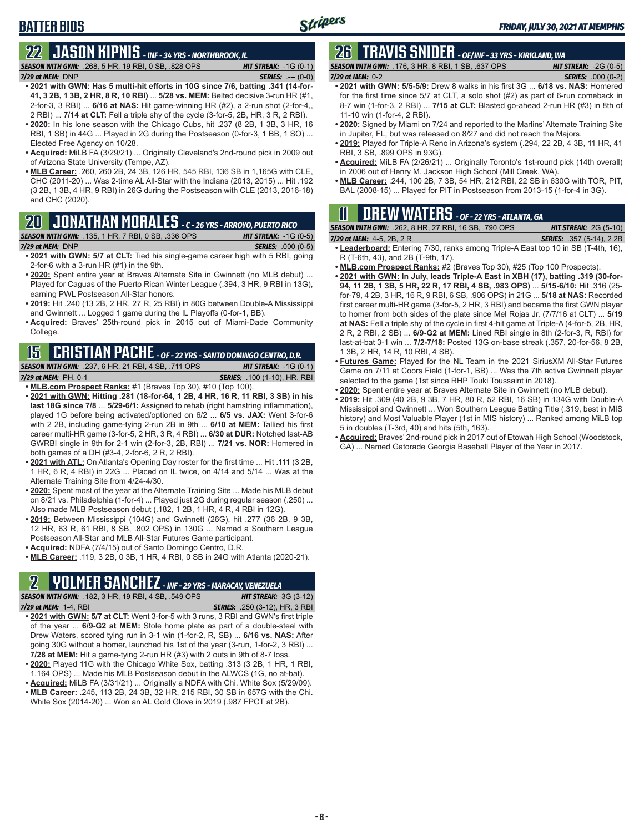# **BATTER BIOS**

### **22 JASON KIPNIS** *- INF - 34 YRS - NORTHBROOK, IL*

*SEASON WITH GWN:*.268, 5 HR, 19 RBI, 0 SB, .828 OPS *HIT STREAK:* -1G (0-1) *7/29 at MEM:*DNP *SERIES:* .--- (0-0)

- **• 2021 with GWN: Has 5 multi-hit efforts in 10G since 7/6, batting .341 (14-for-41, 3 2B, 1 3B, 2 HR, 8 R, 10 RBI)** ... **5/28 vs. MEM:** Belted decisive 3-run HR (#1, 2-for-3, 3 RBI) ... **6/16 at NAS:** Hit game-winning HR (#2), a 2-run shot (2-for-4,, 2 RBI) ... **7/14 at CLT:** Fell a triple shy of the cycle (3-for-5, 2B, HR, 3 R, 2 RBI).
- **• 2020:** In his lone season with the Chicago Cubs, hit .237 (8 2B, 1 3B, 3 HR, 16 RBI, 1 SB) in 44G ... Played in 2G during the Postseason (0-for-3, 1 BB, 1 SO) ... Elected Free Agency on 10/28.
- **• Acquired:** MiLB FA (3/29/21) ... Originally Cleveland's 2nd-round pick in 2009 out of Arizona State University (Tempe, AZ).
- **• MLB Career:** .260, 260 2B, 24 3B, 126 HR, 545 RBI, 136 SB in 1,165G with CLE, CHC (2011-20) ... Was 2-time AL All-Star with the Indians (2013, 2015) ... Hit .192 (3 2B, 1 3B, 4 HR, 9 RBI) in 26G during the Postseason with CLE (2013, 2016-18) and CHC (2020).

### **20 JONATHAN MORALES** *- C - 26 YRS - ARROYO, PUERTO RICO*

### *SEASON WITH GWN:*.135, 1 HR, 7 RBI, 0 SB, .336 OPS *HIT STREAK:* -1G (0-5)

- *7/29 at MEM:*DNP *SERIES:* .000 (0-5) **• 2021 with GWN: 5/7 at CLT:** Tied his single-game career high with 5 RBI, going 2-for-6 with a 3-run HR (#1) in the 9th.
- **• 2020:** Spent entire year at Braves Alternate Site in Gwinnett (no MLB debut) ... Played for Caguas of the Puerto Rican Winter League (.394, 3 HR, 9 RBI in 13G), earning PWL Postseason All-Star honors.
- **• 2019:** Hit .240 (13 2B, 2 HR, 27 R, 25 RBI) in 80G between Double-A Mississippi and Gwinnett ... Logged 1 game during the IL Playoffs (0-for-1, BB).
- **• Acquired:** Braves' 25th-round pick in 2015 out of Miami-Dade Community College.

## **15 CRISTIAN PACHE** *- OF - 22 YRS - SANTO DOMINGO CENTRO, D.R.*

*SEASON WITH GWN:*.237, 6 HR, 21 RBI, 4 SB, .711 OPS *HIT STREAK:* -1G (0-1) *7/29 at MEM:* PH, 0-1 *SERIES:* .100 (1-10), HR, RBI

- **• MLB.com Prospect Ranks:** #1 (Braves Top 30), #10 (Top 100). **• 2021 with GWN: Hitting .281 (18-for-64, 1 2B, 4 HR, 16 R, 11 RBI, 3 SB) in his last 18G since 7/8** ... **5/29-6/1:** Assigned to rehab (right hamstring inflammation), played 1G before being activated/optioned on 6/2 ... **6/5 vs. JAX:** Went 3-for-6 with 2 2B, including game-tying 2-run 2B in 9th ... **6/10 at MEM:** Tallied his first career multi-HR game (3-for-5, 2 HR, 3 R, 4 RBI) ... **6/30 at DUR:** Notched last-AB GWRBI single in 9th for 2-1 win (2-for-3, 2B, RBI) ... **7/21 vs. NOR:** Homered in
- both games of a DH (#3-4, 2-for-6, 2 R, 2 RBI). **• 2021 with ATL:** On Atlanta's Opening Day roster for the first time ... Hit .111 (3 2B, 1 HR, 6 R, 4 RBI) in 22G ... Placed on IL twice, on 4/14 and 5/14 ... Was at the Alternate Training Site from 4/24-4/30.
- **• 2020:** Spent most of the year at the Alternate Training Site ... Made his MLB debut on 8/21 vs. Philadelphia (1-for-4) ... Played just 2G during regular season (.250) ... Also made MLB Postseason debut (.182, 1 2B, 1 HR, 4 R, 4 RBI in 12G).
- **• 2019:** Between Mississippi (104G) and Gwinnett (26G), hit .277 (36 2B, 9 3B, 12 HR, 63 R, 61 RBI, 8 SB, .802 OPS) in 130G ... Named a Southern League Postseason All-Star and MLB All-Star Futures Game participant.
- **• Acquired:** NDFA (7/4/15) out of Santo Domingo Centro, D.R.
- **• MLB Career:** .119, 3 2B, 0 3B, 1 HR, 4 RBI, 0 SB in 24G with Atlanta (2020-21).

### **2 YOLMER SANCHEZ** *- INF - 29 YRS - MARACAY, VENEZUELA*

*SEASON WITH GWN:*.182, 3 HR, 19 RBI, 4 SB, .549 OPS *HIT STREAK:* 3G (3-12) *7/29 at MEM:*1-4, RBI *SERIES:* .250 (3-12), HR, 3 RBI

- **• 2021 with GWN: 5/7 at CLT:** Went 3-for-5 with 3 runs, 3 RBI and GWN's first triple of the year ... **6/9-G2 at MEM:** Stole home plate as part of a double-steal with Drew Waters, scored tying run in 3-1 win (1-for-2, R, SB) ... **6/16 vs. NAS:** After going 30G without a homer, launched his 1st of the year (3-run, 1-for-2, 3 RBI) ... **7/28 at MEM:** Hit a game-tying 2-run HR (#3) with 2 outs in 9th of 8-7 loss.
- **• 2020:** Played 11G with the Chicago White Sox, batting .313 (3 2B, 1 HR, 1 RBI, 1.164 OPS) ... Made his MLB Postseason debut in the ALWCS (1G, no at-bat).
- **• Acquired:** MiLB FA (3/31/21) ... Originally a NDFA with Chi. White Sox (5/29/09). **• MLB Career:** .245, 113 2B, 24 3B, 32 HR, 215 RBI, 30 SB in 657G with the Chi. White Sox (2014-20) ... Won an AL Gold Glove in 2019 (.987 FPCT at 2B).

# **26 TRAVIS SNIDER** *- OF/INF - 33 YRS - KIRKLAND, WA*

*SEASON WITH GWN:*.176, 3 HR, 8 RBI, 1 SB, .637 OPS *HIT STREAK:* -2G (0-5) *7/29 at MEM:* 0-2 *SERIES:* .000 (0-2)

- **• 2021 with GWN: 5/5-5/9:** Drew 8 walks in his first 3G ... **6/18 vs. NAS:** Homered for the first time since 5/7 at CLT, a solo shot (#2) as part of 6-run comeback in 8-7 win (1-for-3, 2 RBI) ... **7/15 at CLT:** Blasted go-ahead 2-run HR (#3) in 8th of 11-10 win (1-for-4, 2 RBI).
- **• 2020:** Signed by Miami on 7/24 and reported to the Marlins' Alternate Training Site in Jupiter, FL, but was released on 8/27 and did not reach the Majors.
- **• 2019:** Played for Triple-A Reno in Arizona's system (.294, 22 2B, 4 3B, 11 HR, 41 RBI, 3 SB, .899 OPS in 93G).
- **• Acquired:** MiLB FA (2/26/21) ... Originally Toronto's 1st-round pick (14th overall) in 2006 out of Henry M. Jackson High School (Mill Creek, WA).
- **• MLB Career:** .244, 100 2B, 7 3B, 54 HR, 212 RBI, 22 SB in 630G with TOR, PIT, BAL (2008-15) ... Played for PIT in Postseason from 2013-15 (1-for-4 in 3G).

# **11 Drew WATERS** *- OF - 22 YRS - ATLANTA, GA*

| <b>SEASON WITH GWN:</b> .262, 8 HR, 27 RBI, 16 SB, .790 OPS | <b>HIT STREAK: 2G (5-10)</b>     |
|-------------------------------------------------------------|----------------------------------|
| 7/29 at MEM: $4-5$ , 2B, 2R                                 | <b>SERIES:</b> .357 (5-14), 2 2B |

- **• Leaderboard:** Entering 7/30, ranks among Triple-A East top 10 in SB (T-4th, 16), R (T-6th, 43), and 2B (T-9th, 17).
- **• MLB.com Prospect Ranks:** #2 (Braves Top 30), #25 (Top 100 Prospects).
- **• 2021 with GWN: In July, leads Triple-A East in XBH (17), batting .319 (30-for-94, 11 2B, 1 3B, 5 HR, 22 R, 17 RBI, 4 SB, .983 OPS)** ... **5/15-6/10:** Hit .316 (25 for-79, 4 2B, 3 HR, 16 R, 9 RBI, 6 SB, .906 OPS) in 21G ... **5/18 at NAS:** Recorded first career multi-HR game (3-for-5, 2 HR, 3 RBI) and became the first GWN player to homer from both sides of the plate since Mel Rojas Jr. (7/7/16 at CLT) ... **5/19 at NAS:** Fell a triple shy of the cycle in first 4-hit game at Triple-A (4-for-5, 2B, HR, 2 R, 2 RBI, 2 SB) ... **6/9-G2 at MEM:** Lined RBI single in 8th (2-for-3, R, RBI) for last-at-bat 3-1 win ... **7/2-7/18:** Posted 13G on-base streak (.357, 20-for-56, 8 2B, 1 3B, 2 HR, 14 R, 10 RBI, 4 SB).
- **• Futures Game:** Played for the NL Team in the 2021 SiriusXM All-Star Futures Game on 7/11 at Coors Field (1-for-1, BB) ... Was the 7th active Gwinnett player selected to the game (1st since RHP Touki Toussaint in 2018).
- **• 2020:** Spent entire year at Braves Alternate Site in Gwinnett (no MLB debut).
- **• 2019:** Hit .309 (40 2B, 9 3B, 7 HR, 80 R, 52 RBI, 16 SB) in 134G with Double-A Mississippi and Gwinnett ... Won Southern League Batting Title (.319, best in MIS history) and Most Valuable Player (1st in MIS history) ... Ranked among MiLB top 5 in doubles (T-3rd, 40) and hits (5th, 163).
- **• Acquired:** Braves' 2nd-round pick in 2017 out of Etowah High School (Woodstock, GA) ... Named Gatorade Georgia Baseball Player of the Year in 2017.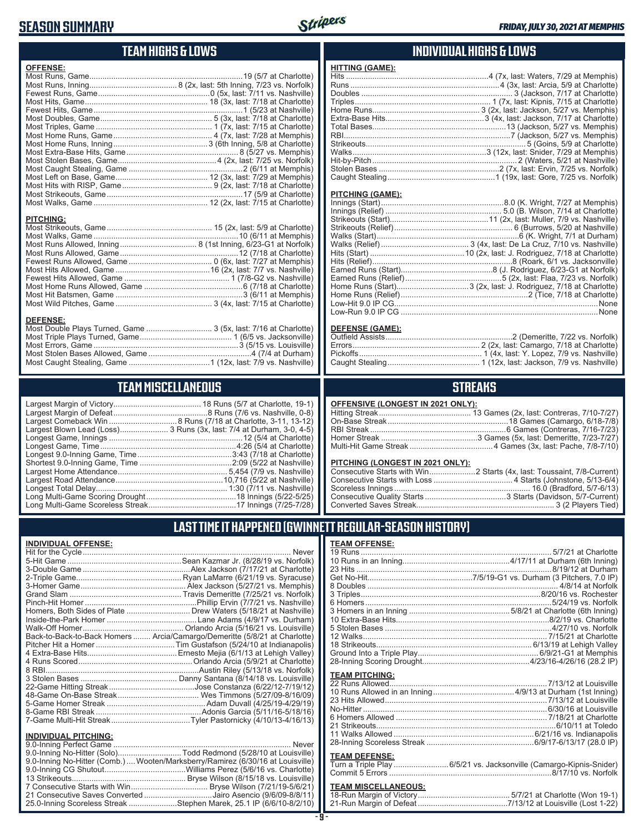### **SEASON SUMMARY**



## **TEAM HIGHS & LOWS**

| <b>OFFENSE:</b>  |  |
|------------------|--|
|                  |  |
|                  |  |
|                  |  |
|                  |  |
|                  |  |
|                  |  |
|                  |  |
|                  |  |
|                  |  |
|                  |  |
|                  |  |
|                  |  |
|                  |  |
|                  |  |
|                  |  |
|                  |  |
|                  |  |
| <b>PITCHING:</b> |  |
|                  |  |
|                  |  |
|                  |  |
|                  |  |
|                  |  |
|                  |  |
|                  |  |

### **DEFENSE:**

| <u>ULI LIVUL.</u>                                               |  |
|-----------------------------------------------------------------|--|
| Most Double Plays Turned, Game  3 (5x, last: 7/16 at Charlotte) |  |
|                                                                 |  |
|                                                                 |  |
|                                                                 |  |
|                                                                 |  |
|                                                                 |  |

Most Home Runs Allowed, Game .............................................6 (7/18 at Charlotte) Most Hit Batsmen, Game ..........................................................3 (6/11 at Memphis) Most Wild Pitches, Game ............................................ 3 (4x, last: 7/15 at Charlotte)

### **TEAM MISCELLANEOUS**

| Largest Blown Lead (Loss) 3 Runs (3x, last: 7/4 at Durham, 3-0, 4-5) |
|----------------------------------------------------------------------|
|                                                                      |
|                                                                      |
|                                                                      |
|                                                                      |
|                                                                      |
|                                                                      |
|                                                                      |
|                                                                      |
|                                                                      |

### **INDIVIDUAL HIGHS & LOWS**

| <b>HITTING (GAME):</b> |                                                                   |
|------------------------|-------------------------------------------------------------------|
|                        | Hits ……………………………………………………………4 (7x, last: Waters, 7/29 at Memphis) |
|                        |                                                                   |
|                        |                                                                   |
|                        |                                                                   |
|                        |                                                                   |
|                        |                                                                   |
|                        |                                                                   |
|                        |                                                                   |
|                        |                                                                   |
|                        |                                                                   |
|                        |                                                                   |
|                        |                                                                   |
|                        |                                                                   |
|                        |                                                                   |

#### **PITCHING (GAME):**

#### **DEFENSE (GAME):**

### **STREAKS**

#### **OFFENSIVE (LONGEST IN 2021 ONLY):**

#### **PITCHING (LONGEST IN 2021 ONLY):**

### **LAST TIME IT HAPPENED (GWINNETT REGULAR-SEASON HISTORY)**

#### **INDIVIDUAL OFFENSE:**

|                             | Homers, Both Sides of Plate  Drew Waters (5/18/21 at Nashville)            |
|-----------------------------|----------------------------------------------------------------------------|
|                             |                                                                            |
|                             |                                                                            |
|                             | Back-to-Back-to-Back Homers  Arcia/Camargo/Demeritte (5/8/21 at Charlotte) |
|                             |                                                                            |
|                             |                                                                            |
|                             |                                                                            |
|                             |                                                                            |
|                             |                                                                            |
|                             |                                                                            |
|                             |                                                                            |
|                             |                                                                            |
|                             |                                                                            |
|                             |                                                                            |
| <b>INDIVIDUAL PITCHING:</b> |                                                                            |
| 0.0 Inning Perfect Came     | Nover                                                                      |

| 9.0-Inning No-Hitter (Solo)Todd Redmond (5/28/10 at Louisville)                 |  |
|---------------------------------------------------------------------------------|--|
| 9.0-Inning No-Hitter (Comb.)  Wooten/Marksberry/Ramirez (6/30/16 at Louisville) |  |
|                                                                                 |  |
|                                                                                 |  |
|                                                                                 |  |
| 21 Consecutive Saves Converted Jairo Asencio (9/6/09-8/8/11)                    |  |
| 25.0-Inning Scoreless Streak Stephen Marek, 25.1 IP (6/6/10-8/2/10)             |  |
|                                                                                 |  |

### **TEAM OFFENSE:**

| <b>TEAM PITCHING:</b> |                                                                     |
|-----------------------|---------------------------------------------------------------------|
|                       |                                                                     |
|                       |                                                                     |
|                       |                                                                     |
|                       |                                                                     |
|                       |                                                                     |
|                       |                                                                     |
|                       |                                                                     |
|                       |                                                                     |
|                       |                                                                     |
| <b>TEAM DEFENSE:</b>  |                                                                     |
|                       | Turn a Triple Play  6/5/21 vs. Jacksonville (Camargo-Kipnis-Snider) |
|                       |                                                                     |

## **TEAM MISCELLANEOUS:**<br>18-Run Margin of Victory.....